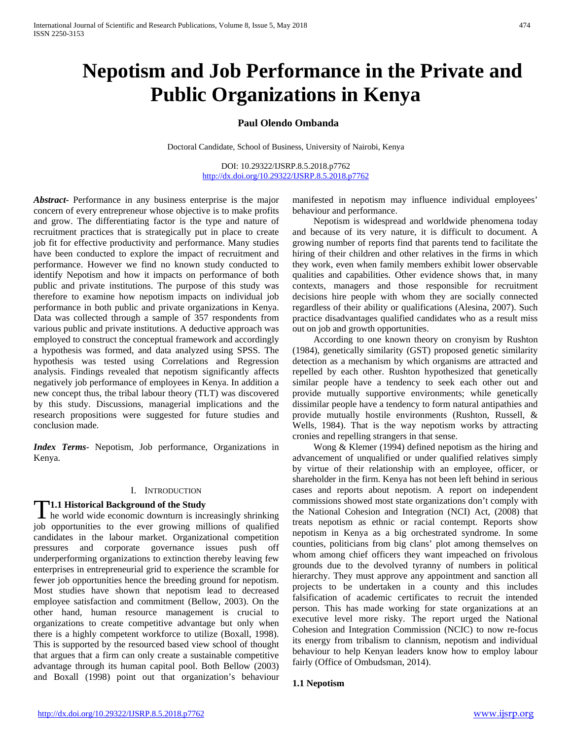# **Nepotism and Job Performance in the Private and Public Organizations in Kenya**

### **Paul Olendo Ombanda**

Doctoral Candidate, School of Business, University of Nairobi, Kenya

DOI: 10.29322/IJSRP.8.5.2018.p7762 <http://dx.doi.org/10.29322/IJSRP.8.5.2018.p7762>

*Abstract***-** Performance in any business enterprise is the major concern of every entrepreneur whose objective is to make profits and grow. The differentiating factor is the type and nature of recruitment practices that is strategically put in place to create job fit for effective productivity and performance. Many studies have been conducted to explore the impact of recruitment and performance. However we find no known study conducted to identify Nepotism and how it impacts on performance of both public and private institutions. The purpose of this study was therefore to examine how nepotism impacts on individual job performance in both public and private organizations in Kenya. Data was collected through a sample of 357 respondents from various public and private institutions. A deductive approach was employed to construct the conceptual framework and accordingly a hypothesis was formed, and data analyzed using SPSS. The hypothesis was tested using Correlations and Regression analysis. Findings revealed that nepotism significantly affects negatively job performance of employees in Kenya. In addition a new concept thus, the tribal labour theory (TLT) was discovered by this study. Discussions, managerial implications and the research propositions were suggested for future studies and conclusion made.

*Index Terms*- Nepotism, Job performance, Organizations in Kenya.

#### I. INTRODUCTION

#### **1.1 Historical Background of the Study**

**T1.1 Historical Background of the Study**<br>he world wide economic downturn is increasingly shrinking job opportunities to the ever growing millions of qualified candidates in the labour market. Organizational competition pressures and corporate governance issues push off underperforming organizations to extinction thereby leaving few enterprises in entrepreneurial grid to experience the scramble for fewer job opportunities hence the breeding ground for nepotism. Most studies have shown that nepotism lead to decreased employee satisfaction and commitment (Bellow, 2003). On the other hand, human resource management is crucial to organizations to create competitive advantage but only when there is a highly competent workforce to utilize (Boxall, 1998). This is supported by the resourced based view school of thought that argues that a firm can only create a sustainable competitive advantage through its human capital pool. Both Bellow (2003) and Boxall (1998) point out that organization's behaviour

manifested in nepotism may influence individual employees' behaviour and performance.

 Nepotism is widespread and worldwide phenomena today and because of its very nature, it is difficult to document. A growing number of reports find that parents tend to facilitate the hiring of their children and other relatives in the firms in which they work, even when family members exhibit lower observable qualities and capabilities. Other evidence shows that, in many contexts, managers and those responsible for recruitment decisions hire people with whom they are socially connected regardless of their ability or qualifications (Alesina, 2007). Such practice disadvantages qualified candidates who as a result miss out on job and growth opportunities.

 According to one known theory on cronyism by Rushton (1984), genetically similarity (GST) proposed genetic similarity detection as a mechanism by which organisms are attracted and repelled by each other. Rushton hypothesized that genetically similar people have a tendency to seek each other out and provide mutually supportive environments; while genetically dissimilar people have a tendency to form natural antipathies and provide mutually hostile environments (Rushton, Russell, & Wells, 1984). That is the way nepotism works by attracting cronies and repelling strangers in that sense.

 Wong & Klemer (1994) defined nepotism as the hiring and advancement of unqualified or under qualified relatives simply by virtue of their relationship with an employee, officer, or shareholder in the firm. Kenya has not been left behind in serious cases and reports about nepotism. A report on independent commissions showed most state organizations don't comply with the National Cohesion and Integration (NCI) Act, (2008) that treats nepotism as ethnic or racial contempt. Reports show nepotism in Kenya as a big orchestrated syndrome. In some counties, politicians from big clans' plot among themselves on whom among chief officers they want impeached on frivolous grounds due to the devolved tyranny of numbers in political hierarchy. They must approve any appointment and sanction all projects to be undertaken in a county and this includes falsification of academic certificates to recruit the intended person. This has made working for state organizations at an executive level more risky. The report urged the National Cohesion and Integration Commission (NCIC) to now re-focus its energy from tribalism to clannism, nepotism and individual behaviour to help Kenyan leaders know how to employ labour fairly (Office of Ombudsman, 2014).

#### **1.1 Nepotism**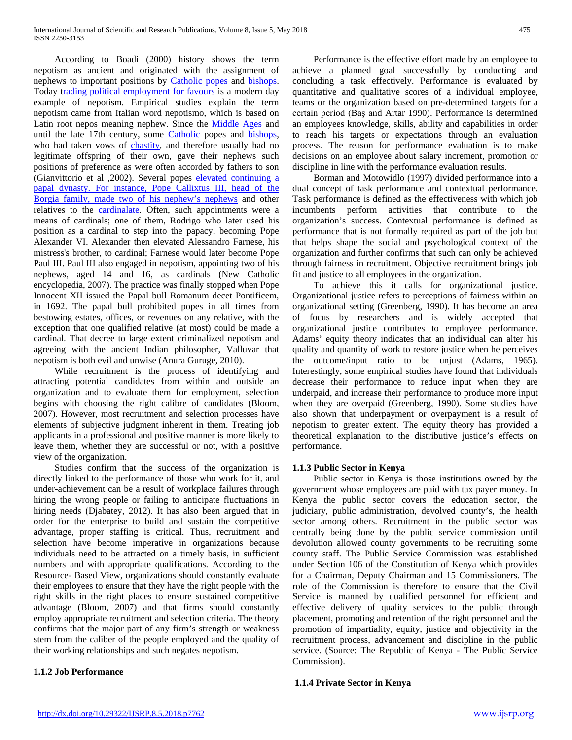According to Boadi (2000) history shows the term nepotism as ancient and originated with the assignment of nephews to important positions by [Catholic](https://en.wikipedia.org/wiki/Catholicism) [popes](https://en.wikipedia.org/wiki/Pope) and [bishops.](https://en.wikipedia.org/wiki/Bishop)  Today [trading political employment for favours](https://en.wikipedia.org/wiki/Corruption_in_Lithuania#Nepotism) is a modern day example of nepotism. Empirical studies explain the term nepotism came from Italian word nepotismo, which is based on Latin root nepos meaning nephew. Since the [Middle Ages](https://en.wikipedia.org/wiki/Middle_Ages) and until the late 17th century, some [Catholic](https://en.wikipedia.org/wiki/Catholicism) popes and bishops, who had taken vows of [chastity,](https://en.wikipedia.org/wiki/Chastity) and therefore usually had no legitimate offspring of their own, gave their nephews such positions of preference as were often accorded by fathers to son (Gianvittorio et al ,2002). Several popes [elevated continuing a](https://en.wikipedia.org/wiki/Cardinal-nephew)  papal dynasty[.](https://en.wikipedia.org/wiki/Cardinal-nephew) [For instance, Pope Callixtus III, head of the](https://en.wikipedia.org/wiki/Cardinal-nephew)  [Borgia family, made two of his nephew's nephews](https://en.wikipedia.org/wiki/Cardinal-nephew) and other relatives to the [cardinalate.](https://en.wikipedia.org/wiki/Cardinal_(Catholicism)) Often, such appointments were a means of cardinals; one of them, Rodrigo who later used his position as a cardinal to step into the papacy, becoming Pope Alexander VI. Alexander then elevated Alessandro Farnese, his mistress's brother, to cardinal; Farnese would later become Pope Paul III. Paul III also engaged in nepotism, appointing two of his nephews, aged 14 and 16, as cardinals (New Catholic encyclopedia, 2007). The practice was finally stopped when Pope Innocent XII issued the Papal bull Romanum decet Pontificem, in 1692. The papal bull prohibited popes in all times from bestowing estates, offices, or revenues on any relative, with the exception that one qualified relative (at most) could be made a cardinal. That decree to large extent criminalized nepotism and agreeing with the ancient Indian philosopher, Valluvar that nepotism is both evil and unwise (Anura Guruge, 2010).

 While recruitment is the process of identifying and attracting potential candidates from within and outside an organization and to evaluate them for employment, selection begins with choosing the right calibre of candidates (Bloom, 2007). However, most recruitment and selection processes have elements of subjective judgment inherent in them. Treating job applicants in a professional and positive manner is more likely to leave them, whether they are successful or not, with a positive view of the organization.

 Studies confirm that the success of the organization is directly linked to the performance of those who work for it, and under-achievement can be a result of workplace failures through hiring the wrong people or failing to anticipate fluctuations in hiring needs (Djabatey, 2012). It has also been argued that in order for the enterprise to build and sustain the competitive advantage, proper staffing is critical. Thus, recruitment and selection have become imperative in organizations because individuals need to be attracted on a timely basis, in sufficient numbers and with appropriate qualifications. According to the Resource- Based View, organizations should constantly evaluate their employees to ensure that they have the right people with the right skills in the right places to ensure sustained competitive advantage (Bloom, 2007) and that firms should constantly employ appropriate recruitment and selection criteria. The theory confirms that the major part of any firm's strength or weakness stem from the caliber of the people employed and the quality of their working relationships and such negates nepotism.

### **1.1.2 Job Performance**

 Performance is the effective effort made by an employee to achieve a planned goal successfully by conducting and concluding a task effectively. Performance is evaluated by quantitative and qualitative scores of a individual employee, teams or the organization based on pre-determined targets for a certain period (Baş and Artar 1990). Performance is determined an employees knowledge, skills, ability and capabilities in order to reach his targets or expectations through an evaluation process. The reason for performance evaluation is to make decisions on an employee about salary increment, promotion or discipline in line with the performance evaluation results.

 Borman and Motowidlo (1997) divided performance into a dual concept of task performance and contextual performance. Task performance is defined as the effectiveness with which job incumbents perform activities that contribute to the organization's success. Contextual performance is defined as performance that is not formally required as part of the job but that helps shape the social and psychological context of the organization and further confirms that such can only be achieved through fairness in recruitment. Objective recruitment brings job fit and justice to all employees in the organization.

 To achieve this it calls for organizational justice. Organizational justice refers to perceptions of fairness within an organizational setting (Greenberg, 1990). It has become an area of focus by researchers and is widely accepted that organizational justice contributes to employee performance. Adams' equity theory indicates that an individual can alter his quality and quantity of work to restore justice when he perceives the outcome/input ratio to be unjust (Adams, 1965). Interestingly, some empirical studies have found that individuals decrease their performance to reduce input when they are underpaid, and increase their performance to produce more input when they are overpaid (Greenberg, 1990). Some studies have also shown that underpayment or overpayment is a result of nepotism to greater extent. The equity theory has provided a theoretical explanation to the distributive justice's effects on performance.

### **1.1.3 Public Sector in Kenya**

 Public sector in Kenya is those institutions owned by the government whose employees are paid with tax payer money. In Kenya the public sector covers the education sector, the judiciary, public administration, devolved county's, the health sector among others. Recruitment in the public sector was centrally being done by the public service commission until devolution allowed county governments to be recruiting some county staff. The Public Service Commission was established under Section 106 of the Constitution of Kenya which provides for a Chairman, Deputy Chairman and 15 Commissioners. The role of the Commission is therefore to ensure that the Civil Service is manned by qualified personnel for efficient and effective delivery of quality services to the public through placement, promoting and retention of the right personnel and the promotion of impartiality, equity, justice and objectivity in the recruitment process, advancement and discipline in the public service. (Source: The Republic of Kenya - The Public Service Commission).

### **1.1.4 Private Sector in Kenya**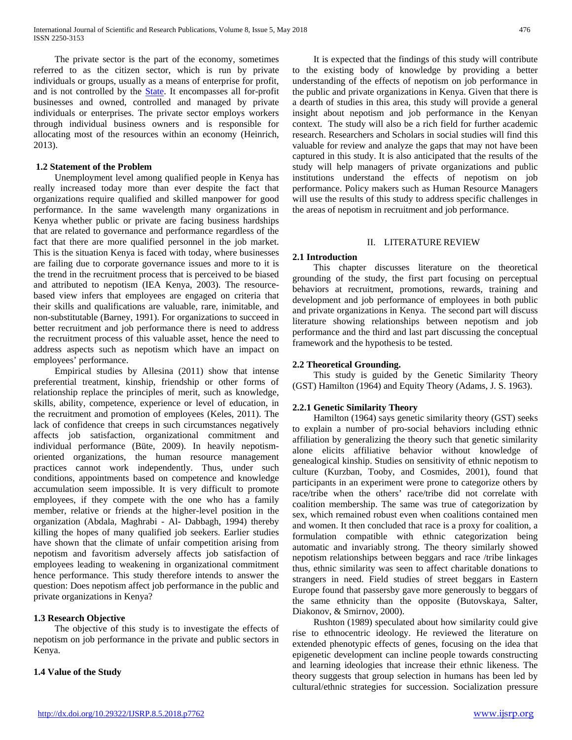The private sector is the part of the economy, sometimes referred to as the citizen sector, which is run by private individuals or groups, usually as a means of enterprise for profit, and is not controlled by the [State.](https://en.wikipedia.org/wiki/State_(polity)) It encompasses all for-profit businesses and owned, controlled and managed by private individuals or enterprises. The private sector employs workers through individual business owners and is responsible for allocating most of the resources within an economy (Heinrich, 2013).

### **1.2 Statement of the Problem**

 Unemployment level among qualified people in Kenya has really increased today more than ever despite the fact that organizations require qualified and skilled manpower for good performance. In the same wavelength many organizations in Kenya whether public or private are facing business hardships that are related to governance and performance regardless of the fact that there are more qualified personnel in the job market. This is the situation Kenya is faced with today, where businesses are failing due to corporate governance issues and more to it is the trend in the recruitment process that is perceived to be biased and attributed to nepotism (IEA Kenya, 2003). The resourcebased view infers that employees are engaged on criteria that their skills and qualifications are valuable, rare, inimitable, and non-substitutable (Barney, 1991). For organizations to succeed in better recruitment and job performance there is need to address the recruitment process of this valuable asset, hence the need to address aspects such as nepotism which have an impact on employees' performance.

 Empirical studies by Allesina (2011) show that intense preferential treatment, kinship, friendship or other forms of relationship replace the principles of merit, such as knowledge, skills, ability, competence, experience or level of education, in the recruitment and promotion of employees (Keles, 2011). The lack of confidence that creeps in such circumstances negatively affects job satisfaction, organizational commitment and individual performance (Büte, 2009). In heavily nepotismoriented organizations, the human resource management practices cannot work independently. Thus, under such conditions, appointments based on competence and knowledge accumulation seem impossible. It is very difficult to promote employees, if they compete with the one who has a family member, relative or friends at the higher-level position in the organization (Abdala, Maghrabi - Al- Dabbagh, 1994) thereby killing the hopes of many qualified job seekers. Earlier studies have shown that the climate of unfair competition arising from nepotism and favoritism adversely affects job satisfaction of employees leading to weakening in organizational commitment hence performance. This study therefore intends to answer the question: Does nepotism affect job performance in the public and private organizations in Kenya?

### **1.3 Research Objective**

 The objective of this study is to investigate the effects of nepotism on job performance in the private and public sectors in Kenya.

### **1.4 Value of the Study**

 It is expected that the findings of this study will contribute to the existing body of knowledge by providing a better understanding of the effects of nepotism on job performance in the public and private organizations in Kenya. Given that there is a dearth of studies in this area, this study will provide a general insight about nepotism and job performance in the Kenyan context. The study will also be a rich field for further academic research. Researchers and Scholars in social studies will find this valuable for review and analyze the gaps that may not have been captured in this study. It is also anticipated that the results of the study will help managers of private organizations and public institutions understand the effects of nepotism on job performance. Policy makers such as Human Resource Managers will use the results of this study to address specific challenges in the areas of nepotism in recruitment and job performance.

### II. LITERATURE REVIEW

### **2.1 Introduction**

 This chapter discusses literature on the theoretical grounding of the study, the first part focusing on perceptual behaviors at recruitment, promotions, rewards, training and development and job performance of employees in both public and private organizations in Kenya. The second part will discuss literature showing relationships between nepotism and job performance and the third and last part discussing the conceptual framework and the hypothesis to be tested.

### **2.2 Theoretical Grounding.**

 This study is guided by the Genetic Similarity Theory (GST) Hamilton (1964) and Equity Theory (Adams, J. S. 1963).

### **2.2.1 Genetic Similarity Theory**

 Hamilton (1964) says genetic similarity theory (GST) seeks to explain a number of pro-social behaviors including ethnic affiliation by generalizing the theory such that genetic similarity alone elicits affiliative behavior without knowledge of genealogical kinship. Studies on sensitivity of ethnic nepotism to culture (Kurzban, Tooby, and Cosmides, 2001), found that participants in an experiment were prone to categorize others by race/tribe when the others' race/tribe did not correlate with coalition membership. The same was true of categorization by sex, which remained robust even when coalitions contained men and women. It then concluded that race is a proxy for coalition, a formulation compatible with ethnic categorization being automatic and invariably strong. The theory similarly showed nepotism relationships between beggars and race /tribe linkages thus, ethnic similarity was seen to affect charitable donations to strangers in need. Field studies of street beggars in Eastern Europe found that passersby gave more generously to beggars of the same ethnicity than the opposite (Butovskaya, Salter, Diakonov, & Smirnov, 2000).

 Rushton (1989) speculated about how similarity could give rise to ethnocentric ideology. He reviewed the literature on extended phenotypic effects of genes, focusing on the idea that epigenetic development can incline people towards constructing and learning ideologies that increase their ethnic likeness. The theory suggests that group selection in humans has been led by cultural/ethnic strategies for succession. Socialization pressure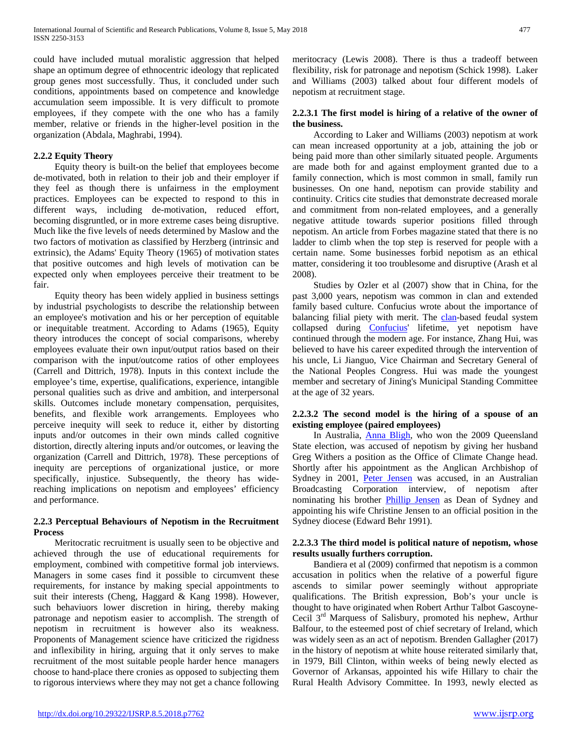could have included mutual moralistic aggression that helped shape an optimum degree of ethnocentric ideology that replicated group genes most successfully. Thus, it concluded under such conditions, appointments based on competence and knowledge accumulation seem impossible. It is very difficult to promote employees, if they compete with the one who has a family member, relative or friends in the higher-level position in the organization (Abdala, Maghrabi, 1994).

### **2.2.2 Equity Theory**

 Equity theory is built-on the belief that employees become de-motivated, both in relation to their job and their employer if they feel as though there is unfairness in the employment practices. Employees can be expected to respond to this in different ways, including de-motivation, reduced effort, becoming disgruntled, or in more extreme cases being disruptive. Much like the five levels of needs determined by Maslow and the two factors of motivation as classified by Herzberg (intrinsic and extrinsic), the Adams' Equity Theory (1965) of motivation states that positive outcomes and high levels of motivation can be expected only when employees perceive their treatment to be fair.

 Equity theory has been widely applied in business settings by industrial psychologists to describe the relationship between an employee's motivation and his or her perception of equitable or inequitable treatment. According to Adams (1965), Equity theory introduces the concept of social comparisons, whereby employees evaluate their own input/output ratios based on their comparison with the input/outcome ratios of other employees (Carrell and Dittrich, 1978). Inputs in this context include the employee's time, expertise, qualifications, experience, intangible personal qualities such as drive and ambition, and interpersonal skills. Outcomes include monetary compensation, perquisites, benefits, and flexible work arrangements. Employees who perceive inequity will seek to reduce it, either by distorting inputs and/or outcomes in their own minds called cognitive distortion, directly altering inputs and/or outcomes, or leaving the organization (Carrell and Dittrich, 1978). These perceptions of inequity are perceptions of organizational justice, or more specifically, injustice. Subsequently, the theory has widereaching implications on nepotism and employees' efficiency and performance.

### **2.2.3 Perceptual Behaviours of Nepotism in the Recruitment Process**

 Meritocratic recruitment is usually seen to be objective and achieved through the use of educational requirements for employment, combined with competitive formal job interviews. Managers in some cases find it possible to circumvent these requirements, for instance by making special appointments to suit their interests (Cheng, Haggard & Kang 1998). However, such behaviuors lower discretion in hiring, thereby making patronage and nepotism easier to accomplish. The strength of nepotism in recruitment is however also its weakness. Proponents of Management science have criticized the rigidness and inflexibility in hiring, arguing that it only serves to make recruitment of the most suitable people harder hence managers choose to hand-place there cronies as opposed to subjecting them to rigorous interviews where they may not get a chance following meritocracy (Lewis 2008). There is thus a tradeoff between flexibility, risk for patronage and nepotism (Schick 1998). Laker and Williams (2003) talked about four different models of nepotism at recruitment stage.

### **2.2.3.1 The first model is hiring of a relative of the owner of the business.**

 According to Laker and Williams (2003) nepotism at work can mean increased opportunity at a job, attaining the job or being paid more than other similarly situated people. Arguments are made both for and against employment granted due to a family connection, which is most common in small, family run businesses. On one hand, nepotism can provide stability and continuity. Critics cite studies that demonstrate decreased morale and commitment from non-related employees, and a generally negative attitude towards superior positions filled through nepotism. An article from Forbes magazine stated that there is no ladder to climb when the top step is reserved for people with a certain name. Some businesses forbid nepotism as an ethical matter, considering it too troublesome and disruptive (Arash et al 2008).

 Studies by Ozler et al (2007) show that in China, for the past 3,000 years, nepotism was common in clan and extended family based culture. Confucius wrote about the importance of balancing filial piety with merit. The [clan-](https://en.wikipedia.org/wiki/Clan)based feudal system collapsed during [Confucius'](https://en.wikipedia.org/wiki/Confucius) lifetime, yet nepotism have continued through the modern age. For instance, Zhang Hui, was believed to have his career expedited through the intervention of his uncle, Li Jianguo, Vice Chairman and Secretary General of the National Peoples Congress. Hui was made the youngest member and secretary of Jining's Municipal Standing Committee at the age of 32 years.

### **2.2.3.2 The second model is the hiring of a spouse of an existing employee (paired employees)**

 In Australia, [Anna Bligh,](https://en.wikipedia.org/wiki/Anna_Bligh) who won the 2009 Queensland State election, was accused of nepotism by giving her husband Greg Withers a position as the Office of Climate Change head. Shortly after his appointment as the Anglican Archbishop of Sydney in 2001, [Peter Jensen](https://en.wikipedia.org/wiki/Peter_Jensen_(bishop)) was accused, in an Australian Broadcasting Corporation interview, of nepotism after nominating his brother [Phillip Jensen](https://en.wikipedia.org/wiki/Phillip_Jensen) as Dean of Sydney and appointing his wife Christine Jensen to an official position in the Sydney diocese (Edward Behr 1991).

### **2.2.3.3 The third model is political nature of nepotism, whose results usually furthers corruption.**

 Bandiera et al (2009) confirmed that nepotism is a common accusation in politics when the relative of a powerful figure ascends to similar power seemingly without appropriate qualifications. The British expression, Bob's your uncle is thought to have originated when Robert Arthur Talbot Gascoyne-Cecil 3rd Marquess of Salisbury, promoted his nephew, Arthur Balfour, to the esteemed post of chief secretary of Ireland, which was widely seen as an act of nepotism. Brenden Gallagher (2017) in the history of nepotism at white house reiterated similarly that, in 1979, Bill Clinton, within weeks of being newly elected as Governor of Arkansas, appointed his wife Hillary to chair the Rural Health Advisory Committee. In 1993, newly elected as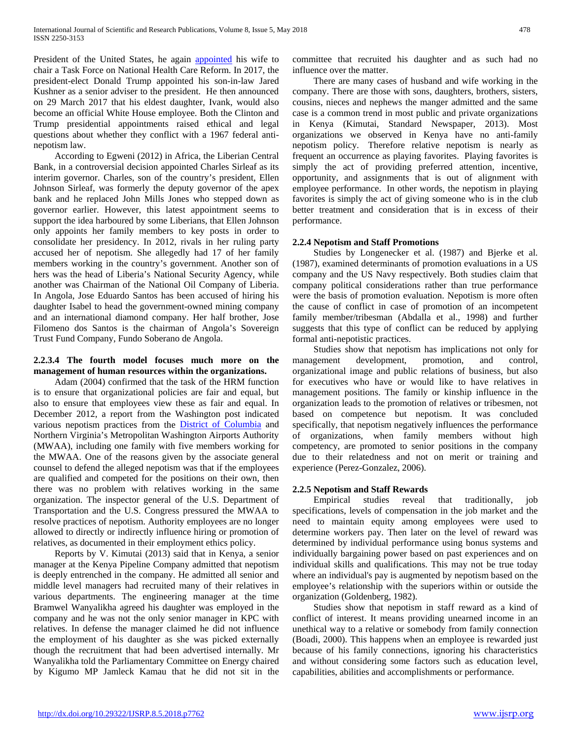President of the United States, he again [appointed](https://en.wikipedia.org/wiki/Hillary_Clinton#Health_care_and_other_policy_initiatives) his wife to chair a Task Force on National Health Care Reform. In 2017, the president-elect Donald Trump appointed his son-in-law Jared Kushner as a senior adviser to the president. He then announced on 29 March 2017 that his eldest daughter, Ivank, would also become an official White House employee. Both the Clinton and Trump presidential appointments raised ethical and legal questions about whether they conflict with a 1967 federal antinepotism law.

 According to Egweni (2012) in Africa, the Liberian Central Bank, in a controversial decision appointed Charles Sirleaf as its interim governor. Charles, son of the country's president, Ellen Johnson Sirleaf, was formerly the deputy governor of the apex bank and he replaced John Mills Jones who stepped down as governor earlier. However, this latest appointment seems to support the idea harboured by some Liberians, that Ellen Johnson only appoints her family members to key posts in order to consolidate her presidency. In 2012, rivals in her ruling party accused her of nepotism. She allegedly had 17 of her family members working in the country's government. Another son of hers was the head of Liberia's National Security Agency, while another was Chairman of the National Oil Company of Liberia. In Angola, Jose Eduardo Santos has been accused of hiring his daughter Isabel to head the government-owned mining company and an international diamond company. Her half brother, Jose Filomeno dos Santos is the chairman of Angola's Sovereign Trust Fund Company, Fundo Soberano de Angola.

### **2.2.3.4 The fourth model focuses much more on the management of human resources within the organizations.**

 Adam (2004) confirmed that the task of the HRM function is to ensure that organizational policies are fair and equal, but also to ensure that employees view these as fair and equal. In December 2012, a report from the Washington post indicated various nepotism practices from the [District of Columbia](https://en.wikipedia.org/wiki/District_of_Columbia) and Northern Virginia's Metropolitan Washington Airports Authority (MWAA), including one family with five members working for the MWAA. One of the reasons given by the associate general counsel to defend the alleged nepotism was that if the employees are qualified and competed for the positions on their own, then there was no problem with relatives working in the same organization. The inspector general of the U.S. Department of Transportation and the U.S. Congress pressured the MWAA to resolve practices of nepotism. Authority employees are no longer allowed to directly or indirectly influence hiring or promotion of relatives, as documented in their employment ethics policy.

 Reports by V. Kimutai (2013) said that in Kenya, a senior manager at the Kenya Pipeline Company admitted that nepotism is deeply entrenched in the company. He admitted all senior and middle level managers had recruited many of their relatives in various departments. The engineering manager at the time Bramwel Wanyalikha agreed his daughter was employed in the company and he was not the only senior manager in KPC with relatives. In defense the manager claimed he did not influence the employment of his daughter as she was picked externally though the recruitment that had been advertised internally. Mr Wanyalikha told the Parliamentary Committee on Energy chaired by Kigumo MP Jamleck Kamau that he did not sit in the committee that recruited his daughter and as such had no influence over the matter.

 There are many cases of husband and wife working in the company. There are those with sons, daughters, brothers, sisters, cousins, nieces and nephews the manger admitted and the same case is a common trend in most public and private organizations in Kenya (Kimutai, Standard Newspaper, 2013). Most organizations we observed in Kenya have no anti-family nepotism policy. Therefore relative nepotism is nearly as frequent an occurrence as playing favorites. Playing favorites is simply the act of providing preferred attention, incentive, opportunity, and assignments that is out of alignment with employee performance. In other words, the nepotism in playing favorites is simply the act of giving someone who is in the club better treatment and consideration that is in excess of their performance.

### **2.2.4 Nepotism and Staff Promotions**

 Studies by Longenecker et al. (1987) and Bjerke et al. (1987), examined determinants of promotion evaluations in a US company and the US Navy respectively. Both studies claim that company political considerations rather than true performance were the basis of promotion evaluation. Nepotism is more often the cause of conflict in case of promotion of an incompetent family member/tribesman (Abdalla et al., 1998) and further suggests that this type of conflict can be reduced by applying formal anti-nepotistic practices.

 Studies show that nepotism has implications not only for management development, promotion, and control, organizational image and public relations of business, but also for executives who have or would like to have relatives in management positions. The family or kinship influence in the organization leads to the promotion of relatives or tribesmen, not based on competence but nepotism. It was concluded specifically, that nepotism negatively influences the performance of organizations, when family members without high competency, are promoted to senior positions in the company due to their relatedness and not on merit or training and experience (Perez-Gonzalez, 2006).

### **2.2.5 Nepotism and Staff Rewards**

 Empirical studies reveal that traditionally, job specifications, levels of compensation in the job market and the need to maintain equity among employees were used to determine workers pay. Then later on the level of reward was determined by individual performance using bonus systems and individually bargaining power based on past experiences and on individual skills and qualifications. This may not be true today where an individual's pay is augmented by nepotism based on the employee's relationship with the superiors within or outside the organization (Goldenberg, 1982).

 Studies show that nepotism in staff reward as a kind of conflict of interest. It means providing unearned income in an unethical way to a relative or somebody from family connection (Boadi, 2000). This happens when an employee is rewarded just because of his family connections, ignoring his characteristics and without considering some factors such as education level, capabilities, abilities and accomplishments or performance.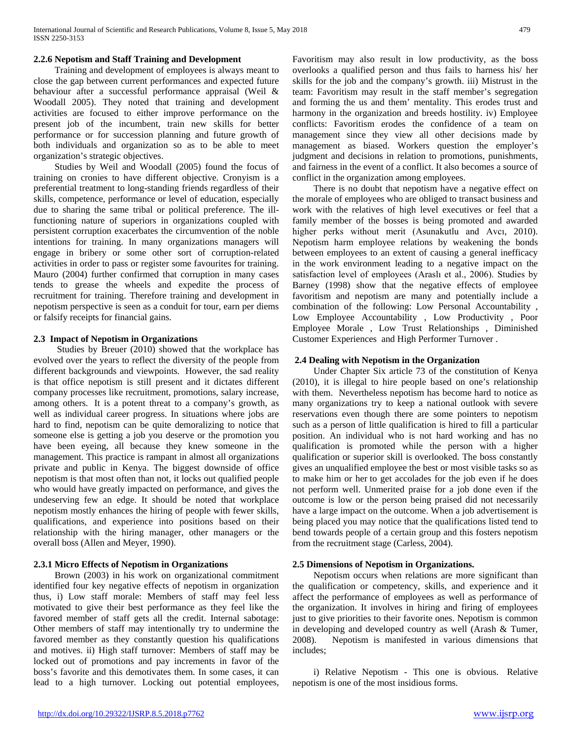### **2.2.6 Nepotism and Staff Training and Development**

 Training and development of employees is always meant to close the gap between current performances and expected future behaviour after a successful performance appraisal (Weil & Woodall 2005). They noted that training and development activities are focused to either improve performance on the present job of the incumbent, train new skills for better performance or for succession planning and future growth of both individuals and organization so as to be able to meet organization's strategic objectives.

 Studies by Weil and Woodall (2005) found the focus of training on cronies to have different objective. Cronyism is a preferential treatment to long-standing friends regardless of their skills, competence, performance or level of education, especially due to sharing the same tribal or political preference. The illfunctioning nature of superiors in organizations coupled with persistent corruption exacerbates the circumvention of the noble intentions for training. In many organizations managers will engage in bribery or some other sort of corruption-related activities in order to pass or register some favourites for training. Mauro (2004) further confirmed that corruption in many cases tends to grease the wheels and expedite the process of recruitment for training. Therefore training and development in nepotism perspective is seen as a conduit for tour, earn per diems or falsify receipts for financial gains.

### **2.3 Impact of Nepotism in Organization[s](http://www.todaie.edu.tr/resimler/ekler/f4611695a7046d7_ek.pdf?dergi=Review%20of%20Public%20Administration#page=1)**

 Studies by Breuer (2010) showed that the workplace has evolved over the years to reflect the diversity of the people from different backgrounds and viewpoints. However, the sad reality is that office nepotism is still present and it dictates different company processes like recruitment, promotions, salary increase, among others. It is a potent threat to a company's growth, as well as individual career progress. In situations where jobs are hard to find, nepotism can be quite demoralizing to notice that someone else is getting a job you deserve or the promotion you have been eyeing, all because they knew someone in the management. This practice is rampant in almost all organizations private and public in Kenya. The biggest downside of office nepotism is that most often than not, it locks out qualified people who would have greatly impacted on performance, and gives the undeserving few an edge. It should be noted that workplace nepotism mostly enhances the hiring of people with fewer skills, qualifications, and experience into positions based on their relationship with the hiring manager, other managers or the overall boss (Allen and Meyer, 1990).

### **2.3.1 Micro Effects of Nepotism in Organizations**

 Brown (2003) in his work on organizational commitment identified four key negative effects of nepotism in organization thus, i) Low staff morale: Members of staff may feel less motivated to give their best performance as they feel like the favored member of staff gets all the credit. Internal sabotage: Other members of staff may intentionally try to undermine the favored member as they constantly question his qualifications and motives. ii) High staff turnover: Members of staff may be locked out of promotions and pay increments in favor of the boss's favorite and this demotivates them. In some cases, it can lead to a high turnover. Locking out potential employees, Favoritism may also result in low productivity, as the boss overlooks a qualified person and thus fails to harness his/ her skills for the job and the company's growth. iii) Mistrust in the team: Favoritism may result in the staff member's segregation and forming the us and them' mentality. This erodes trust and harmony in the organization and breeds hostility. iv) Employee conflicts: Favoritism erodes the confidence of a team on management since they view all other decisions made by management as biased. Workers question the employer's judgment and decisions in relation to promotions, punishments, and fairness in the event of a conflict. It also becomes a source of conflict in the organization among employees.

 There is no doubt that nepotism have a negative effect on the morale of employees who are obliged to transact business and work with the relatives of high level executives or feel that a family member of the bosses is being promoted and awarded higher perks without merit (Asunakutlu and Avcı, 2010). Nepotism harm employee relations by weakening the bonds between employees to an extent of causing a general inefficacy in the work environment leading to a negative impact on the satisfaction level of employees (Araslı et al., 2006). Studies by Barney (1998) show that the negative effects of employee favoritism and nepotism are many and potentially include a combination of the following: Low Personal Accountability , Low Employee Accountability , Low Productivity , Poor Employee Morale , Low Trust Relationships , Diminished Customer Experiences and High Performer Turnover .

### **2.4 Dealing with Nepotism in the Organization**

 Under Chapter Six article 73 of the constitution of Kenya (2010), it is illegal to hire people based on one's relationship with them. Nevertheless nepotism has become hard to notice as many organizations try to keep a national outlook with severe reservations even though there are some pointers to nepotism such as a person of little qualification is hired to fill a particular position. An individual who is not hard working and has no qualification is promoted while the person with a higher qualification or superior skill is overlooked. The boss constantly gives an unqualified employee the best or most visible tasks so as to make him or her to get accolades for the job even if he does not perform well. Unmerited praise for a job done even if the outcome is low or the person being praised did not necessarily have a large impact on the outcome. When a job advertisement is being placed you may notice that the qualifications listed tend to bend towards people of a certain group and this fosters nepotism from the recruitment stage (Carless, 2004).

### **2.5 Dimensions of Nepotism in Organizations.**

 Nepotism occurs when relations are more significant than the qualification or competency, skills, and experience and it affect the performance of employees as well as performance of the organization. It involves in hiring and firing of employees just to give priorities to their favorite ones. Nepotism is common in developing and developed country as well (Arash & Tumer, 2008). Nepotism is manifested in various dimensions that includes;

 i) Relative Nepotism - This one is obvious. Relative nepotism is one of the most insidious forms.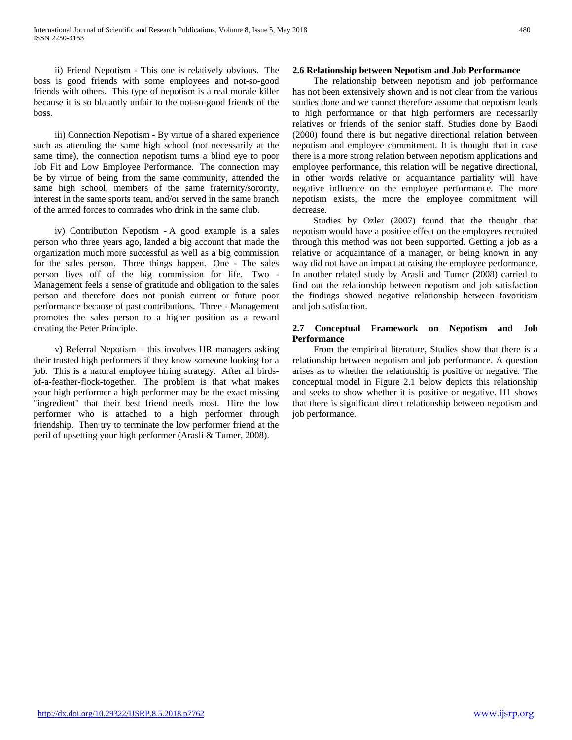ii) Friend Nepotism - This one is relatively obvious. The boss is good friends with some employees and not-so-good friends with others. This type of nepotism is a real morale killer because it is so blatantly unfair to the not-so-good friends of the boss.

 iii) Connection Nepotism - By virtue of a shared experience such as attending the same high school (not necessarily at the same time), the connection nepotism turns a blind eye to poor Job Fit and Low Employee Performance. The connection may be by virtue of being from the same community, attended the same high school, members of the same fraternity/sorority, interest in the same sports team, and/or served in the same branch of the armed forces to comrades who drink in the same club.

 iv) Contribution Nepotism - A good example is a sales person who three years ago, landed a big account that made the organization much more successful as well as a big commission for the sales person. Three things happen. One - The sales person lives off of the big commission for life. Two - Management feels a sense of gratitude and obligation to the sales person and therefore does not punish current or future poor performance because of past contributions. Three - Management promotes the sales person to a higher position as a reward creating the Peter Principle.

 v) Referral Nepotism – this involves HR managers asking their trusted high performers if they know someone looking for a job. This is a natural employee hiring strategy. After all birdsof-a-feather-flock-together. The problem is that what makes your high performer a high performer may be the exact missing "ingredient" that their best friend needs most. Hire the low performer who is attached to a high performer through friendship. Then try to terminate the low performer friend at the peril of upsetting your high performer (Arasli & Tumer, 2008).

#### **2.6 Relationship between Nepotism and Job Performance**

 The relationship between nepotism and job performance has not been extensively shown and is not clear from the various studies done and we cannot therefore assume that nepotism leads to high performance or that high performers are necessarily relatives or friends of the senior staff. Studies done by Baodi (2000) found there is but negative directional relation between nepotism and employee commitment. It is thought that in case there is a more strong relation between nepotism applications and employee performance, this relation will be negative directional, in other words relative or acquaintance partiality will have negative influence on the employee performance. The more nepotism exists, the more the employee commitment will decrease.

 Studies by Ozler (2007) found that the thought that nepotism would have a positive effect on the employees recruited through this method was not been supported. Getting a job as a relative or acquaintance of a manager, or being known in any way did not have an impact at raising the employee performance. In another related study by Arasli and Tumer (2008) carried to find out the relationship between nepotism and job satisfaction the findings showed negative relationship between favoritism and job satisfaction.

### **2.7 Conceptual Framework on Nepotism and Job Performance**

 From the empirical literature, Studies show that there is a relationship between nepotism and job performance. A question arises as to whether the relationship is positive or negative. The conceptual model in Figure 2.1 below depicts this relationship and seeks to show whether it is positive or negative. H1 shows that there is significant direct relationship between nepotism and job performance.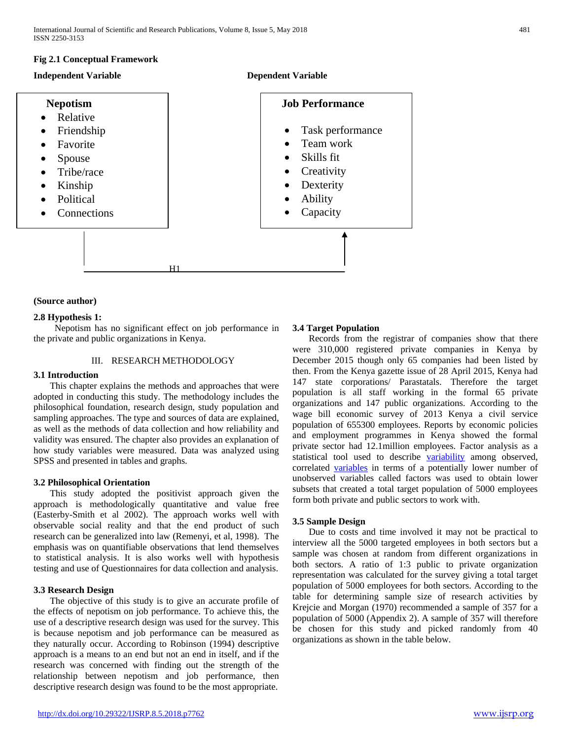### **Fig 2.1 Conceptual Framework**





### **(Source author)**

### **2.8 Hypothesis 1:**

 Nepotism has no significant effect on job performance in the private and public organizations in Kenya.

### III. RESEARCH METHODOLOGY

### **3.1 Introduction**

 This chapter explains the methods and approaches that were adopted in conducting this study. The methodology includes the philosophical foundation, research design, study population and sampling approaches. The type and sources of data are explained, as well as the methods of data collection and how reliability and validity was ensured. The chapter also provides an explanation of how study variables were measured. Data was analyzed using SPSS and presented in tables and graphs.

### **3.2 Philosophical Orientation**

 This study adopted the positivist approach given the approach is methodologically quantitative and value free (Easterby-Smith et al 2002). The approach works well with observable social reality and that the end product of such research can be generalized into law (Remenyi, et al, 1998). The emphasis was on quantifiable observations that lend themselves to statistical analysis. It is also works well with hypothesis testing and use of Questionnaires for data collection and analysis.

### **3.3 Research Design**

 The objective of this study is to give an accurate profile of the effects of nepotism on job performance. To achieve this, the use of a descriptive research design was used for the survey. This is because nepotism and job performance can be measured as they naturally occur. According to Robinson (1994) descriptive approach is a means to an end but not an end in itself, and if the research was concerned with finding out the strength of the relationship between nepotism and job performance, then descriptive research design was found to be the most appropriate.

#### **3.4 Target Population**

 Records from the registrar of companies show that there were 310,000 registered private companies in Kenya by December 2015 though only 65 companies had been listed by then. From the Kenya gazette issue of 28 April 2015, Kenya had 147 state corporations/ Parastatals. Therefore the target population is all staff working in the formal 65 private organizations and 147 public organizations. According to the wage bill economic survey of 2013 Kenya a civil service population of 655300 employees. Reports by economic policies and employment programmes in Kenya showed the formal private sector had 12.1million employees. Factor analysis as a statistical tool used to describe [variability](https://en.wikipedia.org/wiki/Variance) among observed, correlated [variables](https://en.wikipedia.org/wiki/Variable_(mathematics)) in terms of a potentially lower number of unobserved variables called factors was used to obtain lower subsets that created a total target population of 5000 employees form both private and public sectors to work with.

### **3.5 Sample Design**

 Due to costs and time involved it may not be practical to interview all the 5000 targeted employees in both sectors but a sample was chosen at random from different organizations in both sectors. A ratio of 1:3 public to private organization representation was calculated for the survey giving a total target population of 5000 employees for both sectors. According to the table for determining sample size of research activities by Krejcie and Morgan (1970) recommended a sample of 357 for a population of 5000 (Appendix 2). A sample of 357 will therefore be chosen for this study and picked randomly from 40 organizations as shown in the table below.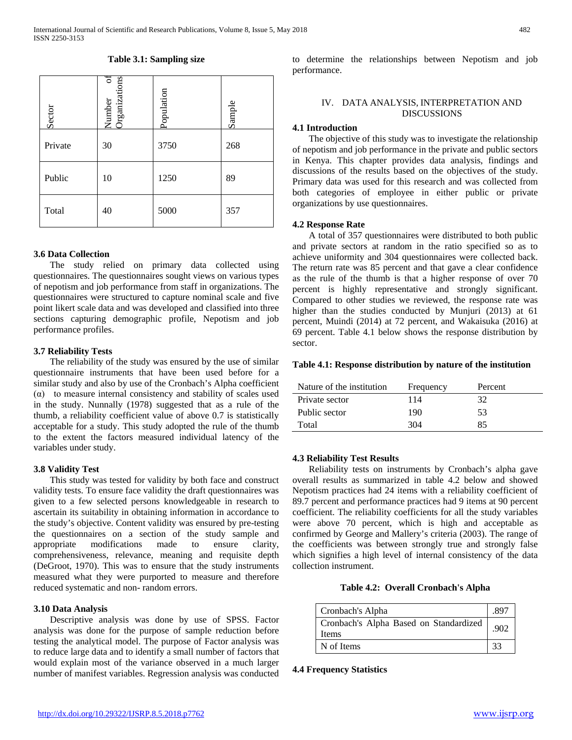## Number of 5 Suc Organizations Population Sample **Sector** Private 30 3750 268 Public 10 1250 89 Total 40 5000 357

#### **Table 3.1: Sampling size**

### **3.6 Data Collection**

 The study relied on primary data collected using questionnaires. The questionnaires sought views on various types of nepotism and job performance from staff in organizations. The questionnaires were structured to capture nominal scale and five point likert scale data and was developed and classified into three sections capturing demographic profile, Nepotism and job performance profiles.

#### **3.7 Reliability Tests**

 The reliability of the study was ensured by the use of similar questionnaire instruments that have been used before for a similar study and also by use of the Cronbach's Alpha coefficient (α) to measure internal consistency and stability of scales used in the study. Nunnally (1978) suggested that as a rule of the thumb, a reliability coefficient value of above 0.7 is statistically acceptable for a study. This study adopted the rule of the thumb to the extent the factors measured individual latency of the variables under study.

### **3.8 Validity Test**

 This study was tested for validity by both face and construct validity tests. To ensure face validity the draft questionnaires was given to a few selected persons knowledgeable in research to ascertain its suitability in obtaining information in accordance to the study's objective. Content validity was ensured by pre-testing the questionnaires on a section of the study sample and appropriate modifications made to ensure clarity, comprehensiveness, relevance, meaning and requisite depth (DeGroot, 1970). This was to ensure that the study instruments measured what they were purported to measure and therefore reduced systematic and non- random errors.

### **3.10 Data Analysis**

 Descriptive analysis was done by use of SPSS. Factor analysis was done for the purpose of sample reduction before testing the analytical model. The purpose of Factor analysis was to reduce large data and to identify a small number of factors that would explain most of the variance observed in a much larger number of manifest variables. Regression analysis was conducted to determine the relationships between Nepotism and job performance.

### IV. DATA ANALYSIS, INTERPRETATION AND DISCUSSIONS

#### **4.1 Introduction**

 The objective of this study was to investigate the relationship of nepotism and job performance in the private and public sectors in Kenya. This chapter provides data analysis, findings and discussions of the results based on the objectives of the study. Primary data was used for this research and was collected from both categories of employee in either public or private organizations by use questionnaires.

#### **4.2 Response Rate**

 A total of 357 questionnaires were distributed to both public and private sectors at random in the ratio specified so as to achieve uniformity and 304 questionnaires were collected back. The return rate was 85 percent and that gave a clear confidence as the rule of the thumb is that a higher response of over 70 percent is highly representative and strongly significant. Compared to other studies we reviewed, the response rate was higher than the studies conducted by Munjuri (2013) at 61 percent, Muindi (2014) at 72 percent, and Wakaisuka (2016) at 69 percent. Table 4.1 below shows the response distribution by sector.

#### **Table 4.1: Response distribution by nature of the institution**

| Nature of the institution | Frequency | Percent |
|---------------------------|-----------|---------|
| Private sector            | 114       | 32      |
| Public sector             | 190       | 53      |
| Total                     | 304       | 85      |

#### **4.3 Reliability Test Results**

 Reliability tests on instruments by Cronbach's alpha gave overall results as summarized in table 4.2 below and showed Nepotism practices had 24 items with a reliability coefficient of 89.7 percent and performance practices had 9 items at 90 percent coefficient. The reliability coefficients for all the study variables were above 70 percent, which is high and acceptable as confirmed by George and Mallery's criteria (2003). The range of the coefficients was between strongly true and strongly false which signifies a high level of internal consistency of the data collection instrument.

| Table 4.2: Overall Cronbach's Alpha |  |  |  |  |
|-------------------------------------|--|--|--|--|
|-------------------------------------|--|--|--|--|

| Cronbach's Alpha                                | .897 |
|-------------------------------------------------|------|
| Cronbach's Alpha Based on Standardized<br>Items | .902 |
| N of Items                                      | 33   |

### **4.4 Frequency Statistics**

|       | Number<br>Organizati | Population | Sample |
|-------|----------------------|------------|--------|
| ivate | 30                   | 3750       | 268    |
| iblic | 10                   | 1250       | 89     |
|       | $\sim$               | $  -$      | --     |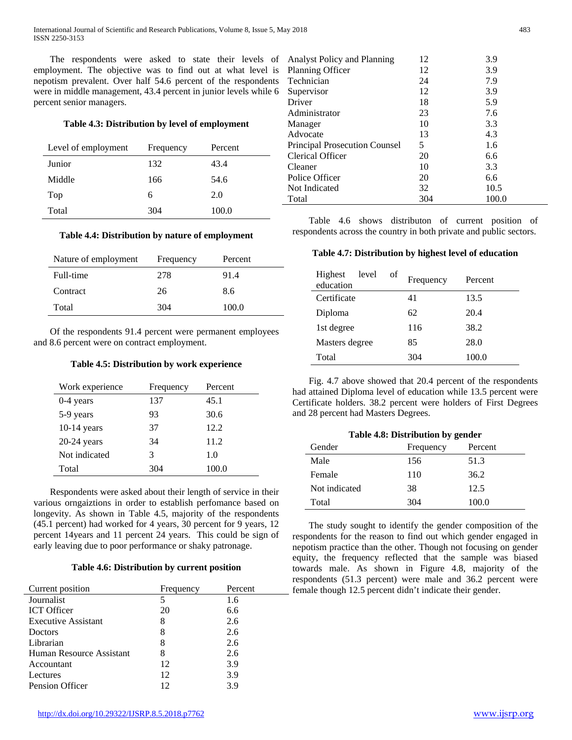The respondents were asked to state their levels of employment. The objective was to find out at what level is nepotism prevalent. Over half 54.6 percent of the respondents were in middle management, 43.4 percent in junior levels while 6 percent senior managers.

### **Table 4.3: Distribution by level of employment**

| Level of employment | Frequency | Percent |
|---------------------|-----------|---------|
| Junior              | 132       | 43.4    |
| Middle              | 166       | 54.6    |
| Top                 | 6         | 2.0     |
| Total               | 304       | 100.0   |

### **Table 4.4: Distribution by nature of employment**

| Nature of employment | Frequency | Percent |
|----------------------|-----------|---------|
| Full-time            | 278       | 91.4    |
| Contract             | 26        | 8.6     |
| Total                | 304       | 100.0   |

 Of the respondents 91.4 percent were permanent employees and 8.6 percent were on contract employment.

### **Table 4.5: Distribution by work experience**

| Work experience | Frequency | Percent |
|-----------------|-----------|---------|
| $0-4$ years     | 137       | 45.1    |
| 5-9 years       | 93        | 30.6    |
| $10-14$ years   | 37        | 12.2    |
| $20-24$ years   | 34        | 11.2    |
| Not indicated   | 3         | 1.0     |
| Total           | 304       | 100.0   |

 Respondents were asked about their length of service in their various orngaiztions in order to establish perfomance based on longevity. As shown in Table 4.5, majority of the respondents (45.1 percent) had worked for 4 years, 30 percent for 9 years, 12 percent 14years and 11 percent 24 years. This could be sign of early leaving due to poor performance or shaky patronage.

### **Table 4.6: Distribution by current position**

| Current position           | Frequency | Percent |
|----------------------------|-----------|---------|
| Journalist                 | 5         | 1.6     |
| <b>ICT</b> Officer         | 20        | 6.6     |
| <b>Executive Assistant</b> | 8         | 2.6     |
| Doctors                    | 8         | 2.6     |
| Librarian                  | 8         | 2.6     |
| Human Resource Assistant   | 8         | 2.6     |
| Accountant                 | 12        | 3.9     |
| Lectures                   | 12        | 3.9     |
| Pension Officer            | 12        | 3.9     |

| Analyst Policy and Planning          | 12  | 3.9   |
|--------------------------------------|-----|-------|
| Planning Officer                     | 12  | 3.9   |
| Technician                           | 24  | 7.9   |
| Supervisor                           | 12  | 3.9   |
| Driver                               | 18  | 5.9   |
| Administrator                        | 23  | 7.6   |
| Manager                              | 10  | 3.3   |
| Advocate                             | 13  | 4.3   |
| <b>Principal Prosecution Counsel</b> | 5   | 1.6   |
| <b>Clerical Officer</b>              | 20  | 6.6   |
| Cleaner                              | 10  | 3.3   |
| Police Officer                       | 20  | 6.6   |
| Not Indicated                        | 32  | 10.5  |
| Total                                | 304 | 100.0 |
|                                      |     |       |

 Table 4.6 shows distributon of current position of respondents across the country in both private and public sectors.

### **Table 4.7: Distribution by highest level of education**

| Highest<br>level<br>education | of | Frequency | Percent |
|-------------------------------|----|-----------|---------|
| Certificate                   |    | 41        | 13.5    |
| Diploma                       |    | 62        | 20.4    |
| 1st degree                    |    | 116       | 38.2    |
| Masters degree                |    | 85        | 28.0    |
| Total                         |    | 304       | 100.0   |

 Fig. 4.7 above showed that 20.4 percent of the respondents had attained Diploma level of education while 13.5 percent were Certificate holders. 38.2 percent were holders of First Degrees and 28 percent had Masters Degrees.

| Table 4.8: Distribution by gender |                      |       |
|-----------------------------------|----------------------|-------|
| Gender                            | Percent<br>Frequency |       |
| Male                              | 156                  | 51.3  |
| Female                            | 110                  | 36.2  |
| Not indicated                     | 38                   | 12.5  |
| Total                             | 304                  | 100.0 |

 The study sought to identify the gender composition of the respondents for the reason to find out which gender engaged in nepotism practice than the other. Though not focusing on gender equity, the frequency reflected that the sample was biased towards male. As shown in Figure 4.8, majority of the respondents (51.3 percent) were male and 36.2 percent were female though 12.5 percent didn't indicate their gender.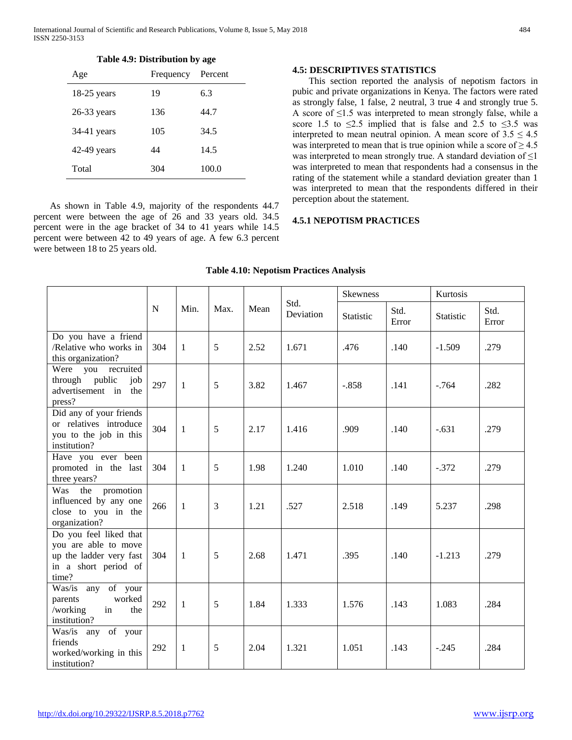| ٦<br>۰,<br>× |
|--------------|
|--------------|

|  | Table 4.9: Distribution by age |  |  |
|--|--------------------------------|--|--|
|--|--------------------------------|--|--|

| Age           | Frequency | Percent |
|---------------|-----------|---------|
| $18-25$ years | 19        | 6.3     |
| $26-33$ years | 136       | 44.7    |
| 34-41 years   | 105       | 34.5    |
| $42-49$ years | 44        | 14.5    |
| Total         | 304       | 100.0   |

 As shown in Table 4.9, majority of the respondents 44.7 percent were between the age of 26 and 33 years old. 34.5 percent were in the age bracket of 34 to 41 years while 14.5 percent were between 42 to 49 years of age. A few 6.3 percent were between 18 to 25 years old.

### **4.5: DESCRIPTIVES STATISTICS**

 This section reported the analysis of nepotism factors in pubic and private organizations in Kenya. The factors were rated as strongly false, 1 false, 2 neutral, 3 true 4 and strongly true 5. A score of  $\leq$ 1.5 was interpreted to mean strongly false, while a score 1.5 to  $\leq$ 2.5 implied that is false and 2.5 to  $\leq$ 3.5 was interpreted to mean neutral opinion. A mean score of  $3.5 \leq 4.5$ was interpreted to mean that is true opinion while a score of  $\geq 4.5$ was interpreted to mean strongly true. A standard deviation of  $\leq$ 1 was interpreted to mean that respondents had a consensus in the rating of the statement while a standard deviation greater than 1 was interpreted to mean that the respondents differed in their perception about the statement.

### **4.5.1 NEPOTISM PRACTICES**

|                                                                                                            |     |              |      |      |                   | <b>Skewness</b> |               | Kurtosis  |               |
|------------------------------------------------------------------------------------------------------------|-----|--------------|------|------|-------------------|-----------------|---------------|-----------|---------------|
|                                                                                                            | N   | Min.         | Max. | Mean | Std.<br>Deviation | Statistic       | Std.<br>Error | Statistic | Std.<br>Error |
| Do you have a friend<br>/Relative who works in<br>this organization?                                       | 304 | $\mathbf{1}$ | 5    | 2.52 | 1.671             | .476            | .140          | $-1.509$  | .279          |
| Were you recruited<br>through public<br>job<br>advertisement in the<br>press?                              | 297 | 1            | 5    | 3.82 | 1.467             | $-.858$         | .141          | $-764$    | .282          |
| Did any of your friends<br>or relatives introduce<br>you to the job in this<br>institution?                | 304 | $\mathbf{1}$ | 5    | 2.17 | 1.416             | .909            | .140          | $-.631$   | .279          |
| Have you ever been<br>promoted in the last<br>three years?                                                 | 304 | $\mathbf{1}$ | 5    | 1.98 | 1.240             | 1.010           | .140          | $-.372$   | .279          |
| Was<br>the<br>promotion<br>influenced by any one<br>close to you in the<br>organization?                   | 266 | $\mathbf{1}$ | 3    | 1.21 | .527              | 2.518           | .149          | 5.237     | .298          |
| Do you feel liked that<br>you are able to move<br>up the ladder very fast<br>in a short period of<br>time? | 304 | $\mathbf{1}$ | 5    | 2.68 | 1.471             | .395            | .140          | $-1.213$  | .279          |
| Was/is any of your<br>worked<br>parents<br>/working<br>in<br>the<br>institution?                           | 292 | $\mathbf{1}$ | 5    | 1.84 | 1.333             | 1.576           | .143          | 1.083     | .284          |
| Was/is any of your<br>friends<br>292<br>worked/working in this<br>institution?                             |     | $\mathbf{1}$ | 5    | 2.04 | 1.321             | 1.051           | .143          | $-.245$   | .284          |

### **Table 4.10: Nepotism Practices Analysis**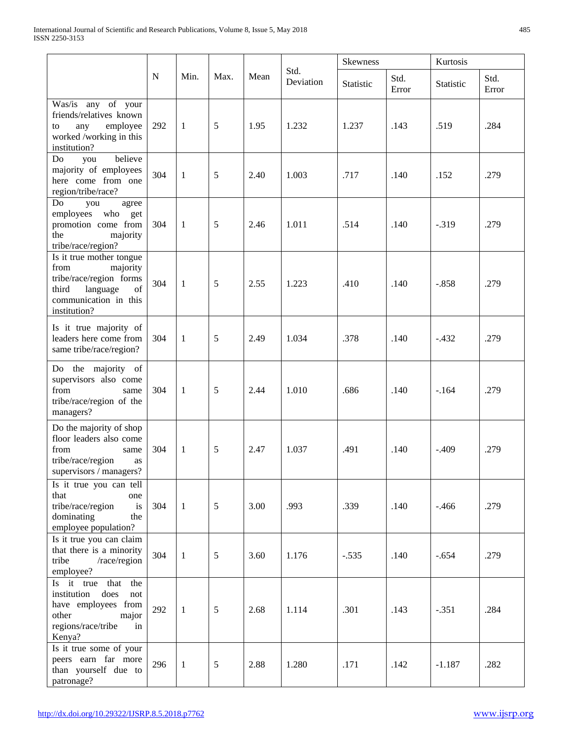|                                                                                                                                             |     |              |      |      |                   | <b>Skewness</b> |               | Kurtosis  |               |
|---------------------------------------------------------------------------------------------------------------------------------------------|-----|--------------|------|------|-------------------|-----------------|---------------|-----------|---------------|
|                                                                                                                                             | N   | Min.         | Max. | Mean | Std.<br>Deviation | Statistic       | Std.<br>Error | Statistic | Std.<br>Error |
| Was/is any of your<br>friends/relatives known<br>employee<br>any<br>to<br>worked /working in this<br>institution?                           | 292 | $\mathbf{1}$ | 5    | 1.95 | 1.232             | 1.237           | .143          | .519      | .284          |
| believe<br>Do<br>you<br>majority of employees<br>here come from one<br>region/tribe/race?                                                   | 304 | $\mathbf{1}$ | 5    | 2.40 | 1.003             | .717            | .140          | .152      | .279          |
| Do<br>you<br>agree<br>who<br>employees<br>get<br>promotion come from<br>the<br>majority<br>tribe/race/region?                               | 304 | $\mathbf{1}$ | 5    | 2.46 | 1.011             | .514            | .140          | $-.319$   | .279          |
| Is it true mother tongue<br>from<br>majority<br>tribe/race/region forms<br>third<br>language<br>of<br>communication in this<br>institution? | 304 | $\mathbf{1}$ | 5    | 2.55 | 1.223             | .410            | .140          | $-.858$   | .279          |
| Is it true majority of<br>leaders here come from<br>same tribe/race/region?                                                                 | 304 | 1            | 5    | 2.49 | 1.034             | .378            | .140          | $-.432$   | .279          |
| Do the majority of<br>supervisors also come<br>from<br>same<br>tribe/race/region of the<br>managers?                                        | 304 | 1            | 5    | 2.44 | 1.010             | .686            | .140          | $-164$    | .279          |
| Do the majority of shop<br>floor leaders also come<br>from<br>same<br>tribe/race/region<br>as<br>$supervisors$ / $managers?$                | 304 | $\mathbf{1}$ | 5    | 2.47 | 1.037             | .491            | .140          | $-.409$   | .279          |
| Is it true you can tell<br>that<br>one<br>tribe/race/region<br>is<br>dominating<br>the<br>employee population?                              | 304 | $\mathbf{1}$ | 5    | 3.00 | .993              | .339            | .140          | $-.466$   | .279          |
| Is it true you can claim<br>that there is a minority<br>/race/region<br>tribe<br>employee?                                                  | 304 | 1            | 5    | 3.60 | 1.176             | $-.535$         | .140          | $-.654$   | .279          |
| Is it true that<br>the<br>institution<br>does<br>not<br>have employees from<br>other<br>major<br>regions/race/tribe<br>in<br>Kenya?         | 292 | $\mathbf{1}$ | 5    | 2.68 | 1.114             | .301            | .143          | $-.351$   | .284          |
| Is it true some of your<br>peers earn far more<br>than yourself due to<br>patronage?                                                        | 296 | 1            | 5    | 2.88 | 1.280             | .171            | .142          | $-1.187$  | .282          |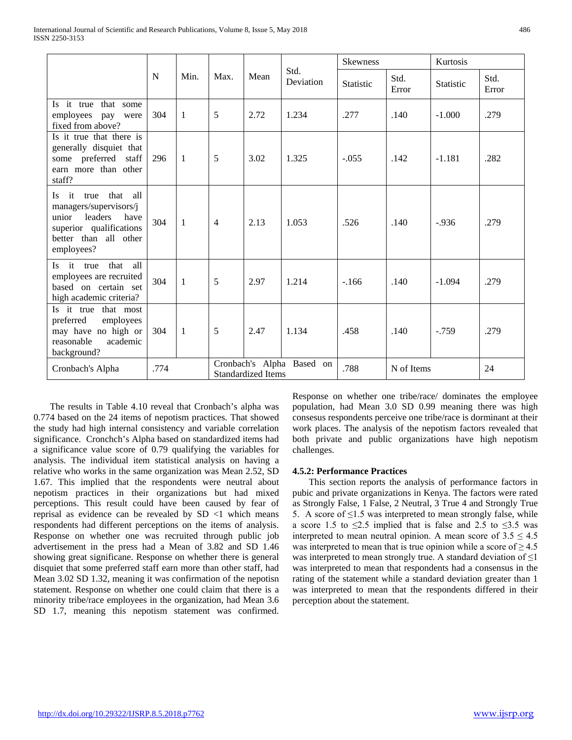|                                                                                                                                                          |      |              |                |                           |                           | <b>Skewness</b> |               | Kurtosis         |               |
|----------------------------------------------------------------------------------------------------------------------------------------------------------|------|--------------|----------------|---------------------------|---------------------------|-----------------|---------------|------------------|---------------|
|                                                                                                                                                          | N    | Min.         | Max.           | Mean                      | Std.<br>Deviation         | Statistic       | Std.<br>Error | <b>Statistic</b> | Std.<br>Error |
| Is it true that some<br>employees<br>pay<br>were<br>fixed from above?                                                                                    | 304  | $\mathbf{1}$ | 5              | 2.72                      | 1.234                     | .277            | .140          | $-1.000$         | .279          |
| Is it true that there is<br>generally disquiet that<br>some preferred staff<br>earn more than other<br>staff?                                            | 296  | $\mathbf{1}$ | 5              | 3.02                      | 1.325                     | $-.055$         | .142          | $-1.181$         | .282          |
| it<br>that<br>all<br>true<br>Is.<br>managers/supervisors/j<br>leaders<br>unior<br>have<br>superior qualifications<br>better than all other<br>employees? | 304  | $\mathbf{1}$ | $\overline{4}$ | 2.13                      | 1.053                     | .526            | .140          | $-0.936$         | .279          |
| it true<br>that<br>all<br>Is.<br>employees are recruited<br>based on certain set<br>high academic criteria?                                              | 304  | $\mathbf{1}$ | 5              | 2.97                      | 1.214                     | $-166$          | .140          | $-1.094$         | .279          |
| Is it true that most<br>preferred<br>employees<br>may have no high or<br>reasonable<br>academic<br>background?                                           | 304  | $\mathbf{1}$ | 5              | 2.47                      | 1.134                     | .458            | .140          | $-.759$          | .279          |
| Cronbach's Alpha                                                                                                                                         | .774 |              |                | <b>Standardized Items</b> | Cronbach's Alpha Based on | .788            | N of Items    |                  | 24            |

 The results in Table 4.10 reveal that Cronbach's alpha was 0.774 based on the 24 items of nepotism practices. That showed the study had high internal consistency and variable correlation significance. Cronchch's Alpha based on standardized items had a significance value score of 0.79 qualifying the variables for analysis. The individual item statistical analysis on having a relative who works in the same organization was Mean 2.52, SD 1.67. This implied that the respondents were neutral about nepotism practices in their organizations but had mixed perceptions. This result could have been caused by fear of reprisal as evidence can be revealed by SD <1 which means respondents had different perceptions on the items of analysis. Response on whether one was recruited through public job advertisement in the press had a Mean of 3.82 and SD 1.46 showing great significane. Response on whether there is general disquiet that some preferred staff earn more than other staff, had Mean 3.02 SD 1.32, meaning it was confirmation of the nepotisn statement. Response on whether one could claim that there is a minority tribe/race employees in the organization, had Mean 3.6 SD 1.7, meaning this nepotism statement was confirmed.

Response on whether one tribe/race/ dominates the employee population, had Mean 3.0 SD 0.99 meaning there was high consesus respondents perceive one tribe/race is dorminant at their work places. The analysis of the nepotism factors revealed that both private and public organizations have high nepotism challenges.

### **4.5.2: Performance Practices**

 This section reports the analysis of performance factors in pubic and private organizations in Kenya. The factors were rated as Strongly False, 1 False, 2 Neutral, 3 True 4 and Strongly True 5. A score of  $\leq$ 1.5 was interpreted to mean strongly false, while a score 1.5 to  $\leq$ 2.5 implied that is false and 2.5 to  $\leq$ 3.5 was interpreted to mean neutral opinion. A mean score of  $3.5 \le 4.5$ was interpreted to mean that is true opinion while a score of  $\geq 4.5$ was interpreted to mean strongly true. A standard deviation of  $\leq 1$ was interpreted to mean that respondents had a consensus in the rating of the statement while a standard deviation greater than 1 was interpreted to mean that the respondents differed in their perception about the statement.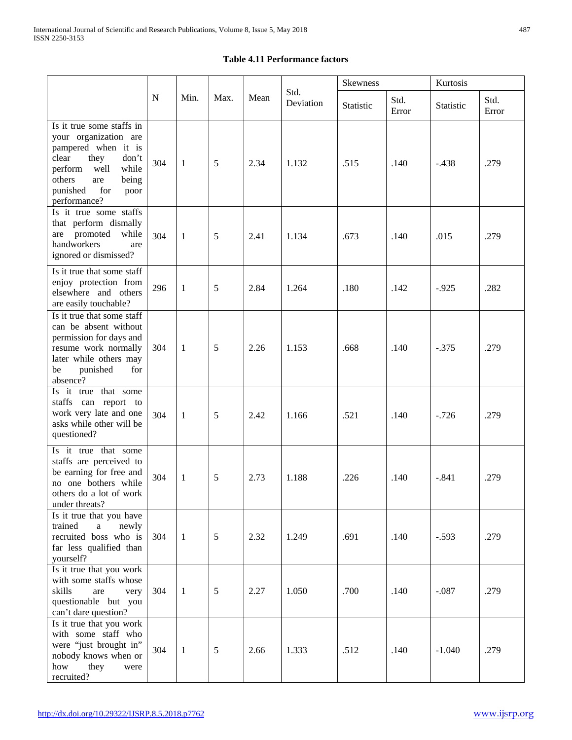### **Table 4.11 Performance factors**

|                                                                                                                                                                                                      |             |              |      |      |                   | Skewness  |               | Kurtosis  |               |
|------------------------------------------------------------------------------------------------------------------------------------------------------------------------------------------------------|-------------|--------------|------|------|-------------------|-----------|---------------|-----------|---------------|
|                                                                                                                                                                                                      | $\mathbf N$ | Min.         | Max. | Mean | Std.<br>Deviation | Statistic | Std.<br>Error | Statistic | Std.<br>Error |
| Is it true some staffs in<br>your organization are<br>pampered when it is<br>they<br>clear<br>don't<br>perform<br>well<br>while<br>others<br>are<br>being<br>punished<br>for<br>poor<br>performance? | 304         | 1            | 5    | 2.34 | 1.132             | .515      | .140          | $-.438$   | .279          |
| Is it true some staffs<br>that perform dismally<br>promoted<br>while<br>are<br>handworkers<br>are<br>ignored or dismissed?                                                                           | 304         | $\mathbf{1}$ | 5    | 2.41 | 1.134             | .673      | .140          | .015      | .279          |
| Is it true that some staff<br>enjoy protection from<br>elsewhere and others<br>are easily touchable?                                                                                                 | 296         | $\mathbf{1}$ | 5    | 2.84 | 1.264             | .180      | .142          | $-.925$   | .282          |
| Is it true that some staff<br>can be absent without<br>permission for days and<br>resume work normally<br>later while others may<br>punished<br>for<br>be<br>absence?                                | 304         | $\mathbf{1}$ | 5    | 2.26 | 1.153             | .668      | .140          | $-.375$   | .279          |
| Is it true that some<br>staffs can report to<br>work very late and one<br>asks while other will be<br>questioned?                                                                                    | 304         | $\mathbf{1}$ | 5    | 2.42 | 1.166             | .521      | .140          | $-.726$   | .279          |
| Is it true that some<br>staffs are perceived to<br>be earning for free and<br>no one bothers while<br>others do a lot of work<br>under threats?                                                      | 304         | 1            | 5    | 2.73 | 1.188             | .226      | .140          | $-.841$   | .279          |
| Is it true that you have<br>newly<br>trained<br>$\mathbf{a}$<br>recruited boss who is<br>far less qualified than<br>yourself?                                                                        | 304         | $\mathbf{1}$ | 5    | 2.32 | 1.249             | .691      | .140          | $-.593$   | .279          |
| Is it true that you work<br>with some staffs whose<br>skills<br>are<br>very<br>questionable but you<br>can't dare question?                                                                          | 304         | $\mathbf{1}$ | 5    | 2.27 | 1.050             | .700      | .140          | $-.087$   | .279          |
| Is it true that you work<br>with some staff who<br>were "just brought in"<br>nobody knows when or<br>how<br>they<br>were<br>recruited?                                                               | 304         | $\mathbf{1}$ | 5    | 2.66 | 1.333             | .512      | .140          | $-1.040$  | .279          |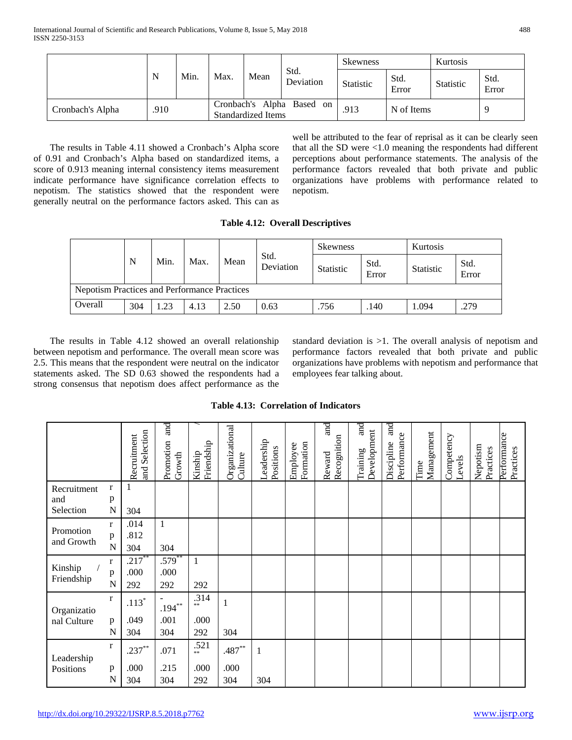|                  |      | Min.<br>N |      |                           |                           | <b>Skewness</b>  |               | Kurtosis         |               |
|------------------|------|-----------|------|---------------------------|---------------------------|------------------|---------------|------------------|---------------|
|                  |      |           | Max. | Mean                      | Std.<br>Deviation         | <b>Statistic</b> | Std.<br>Error | <b>Statistic</b> | Std.<br>Error |
| Cronbach's Alpha | .910 |           |      | <b>Standardized Items</b> | Cronbach's Alpha Based on | .913             | N of Items    |                  |               |

 The results in Table 4.11 showed a Cronbach's Alpha score of 0.91 and Cronbach's Alpha based on standardized items, a score of 0.913 meaning internal consistency items measurement indicate performance have significance correlation effects to nepotism. The statistics showed that the respondent were generally neutral on the performance factors asked. This can as well be attributed to the fear of reprisal as it can be clearly seen that all the SD were <1.0 meaning the respondents had different perceptions about performance statements. The analysis of the performance factors revealed that both private and public organizations have problems with performance related to nepotism.

### **Table 4.12: Overall Descriptives**

|                                                     |     |      |      |                           |      | <b>Skewness</b>  |               | Kurtosis         |               |
|-----------------------------------------------------|-----|------|------|---------------------------|------|------------------|---------------|------------------|---------------|
|                                                     | N   | Min. | Max. | Std.<br>Mean<br>Deviation |      | <b>Statistic</b> | Std.<br>Error | <b>Statistic</b> | Std.<br>Error |
| <b>Nepotism Practices and Performance Practices</b> |     |      |      |                           |      |                  |               |                  |               |
| Overall                                             | 304 | 1.23 | 4.13 | 2.50                      | 0.63 | .756             | .140          | 1.094            | .279          |

 The results in Table 4.12 showed an overall relationship between nepotism and performance. The overall mean score was 2.5. This means that the respondent were neutral on the indicator statements asked. The SD 0.63 showed the respondents had a strong consensus that nepotism does affect performance as the standard deviation is >1. The overall analysis of nepotism and performance factors revealed that both private and public organizations have problems with nepotism and performance that employees fear talking about.

### **Table 4.13: Correlation of Indicators**

|                         |                                   | Selection<br>Recruitment<br>and | and<br>Promotion<br>Growth | Friendship<br>Kinship | Organizational<br>Culture | Leadership<br>Positions | Formation<br>Employee | and<br>Reward a<br>Recognition | and<br>Development<br>Training | and<br>Performance<br>Discipline | Management<br>Time | Competency<br>Levels | Nepotism<br>Practices | Performance<br>Practices |
|-------------------------|-----------------------------------|---------------------------------|----------------------------|-----------------------|---------------------------|-------------------------|-----------------------|--------------------------------|--------------------------------|----------------------------------|--------------------|----------------------|-----------------------|--------------------------|
| Recruitment<br>and      | $\bf r$<br>p                      |                                 |                            |                       |                           |                         |                       |                                |                                |                                  |                    |                      |                       |                          |
| Selection               | N                                 | 304                             |                            |                       |                           |                         |                       |                                |                                |                                  |                    |                      |                       |                          |
| Promotion<br>and Growth | $\mathbf{r}$<br>$\mathbf{p}$<br>N | .014<br>.812<br>304             | 1<br>304                   |                       |                           |                         |                       |                                |                                |                                  |                    |                      |                       |                          |
|                         | $\mathbf r$                       | .217                            | $.579***$                  | 1                     |                           |                         |                       |                                |                                |                                  |                    |                      |                       |                          |
| Kinship<br>Friendship   | $\mathbf{p}$<br>N                 | .000<br>292                     | .000<br>292                | 292                   |                           |                         |                       |                                |                                |                                  |                    |                      |                       |                          |
| Organizatio             | $\mathbf{r}$                      | $.113*$                         | $.194***$                  | .314<br>$**$          |                           |                         |                       |                                |                                |                                  |                    |                      |                       |                          |
| nal Culture             | p                                 | .049                            | .001                       | .000                  |                           |                         |                       |                                |                                |                                  |                    |                      |                       |                          |
|                         | N                                 | 304                             | 304                        | 292                   | 304                       |                         |                       |                                |                                |                                  |                    |                      |                       |                          |
| Leadership              | $\mathbf{r}$                      | $.237***$                       | .071                       | .521<br>**            | .487**                    | 1                       |                       |                                |                                |                                  |                    |                      |                       |                          |
| Positions               | p<br>N                            | .000<br>304                     | .215<br>304                | .000<br>292           | .000<br>304               | 304                     |                       |                                |                                |                                  |                    |                      |                       |                          |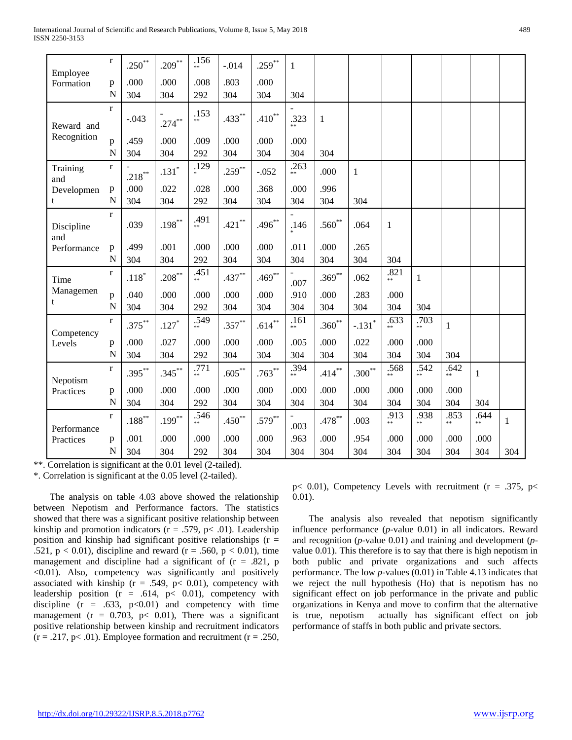| Employee          | $\bf r$        | $.250***$ | $.209***$ | .156<br>de de | $-.014$   | $.259***$ | 1                                |              |                      |              |            |              |              |       |
|-------------------|----------------|-----------|-----------|---------------|-----------|-----------|----------------------------------|--------------|----------------------|--------------|------------|--------------|--------------|-------|
| Formation         | p              | .000      | .000      | .008          | .803      | .000      |                                  |              |                      |              |            |              |              |       |
|                   | $\overline{N}$ | 304       | 304       | 292           | 304       | 304       | 304                              |              |                      |              |            |              |              |       |
|                   | $\mathbf{r}$   |           |           | .153          |           |           |                                  |              |                      |              |            |              |              |       |
| Reward and        |                | $-.043$   | $.274***$ | $**$          | $.433***$ | $.410**$  | .323                             | $\mathbf{1}$ |                      |              |            |              |              |       |
| Recognition       | p              | .459      | .000      | .009          | .000      | .000      | .000                             |              |                      |              |            |              |              |       |
|                   | N              | 304       | 304       | 292           | 304       | 304       | 304                              | 304          |                      |              |            |              |              |       |
| Training<br>and   | $\mathbf{r}$   | $.218***$ | $.131*$   | .129          | $.259***$ | $-.052$   | .263<br>$**$                     | .000         | $\mathbf{1}$         |              |            |              |              |       |
| Developmen        | $\mathbf{p}$   | .000      | .022      | .028          | .000      | .368      | .000                             | .996         |                      |              |            |              |              |       |
| t                 | $\mathbf N$    | 304       | 304       | 292           | 304       | 304       | 304                              | 304          | 304                  |              |            |              |              |       |
| Discipline<br>and | $\mathbf{r}$   | .039      | $.198***$ | .491          | $.421***$ | $.496***$ | .146                             | $.560**$     | .064                 | 1            |            |              |              |       |
| Performance       | p              | .499      | .001      | .000          | .000      | .000      | .011                             | .000         | .265                 |              |            |              |              |       |
|                   | $\overline{N}$ | 304       | 304       | 292           | 304       | 304       | 304                              | 304          | 304                  | 304          |            |              |              |       |
| Time              | $\bf r$        | $.118*$   | $.208***$ | .451<br>de de | $.437***$ | $.469***$ | $\overline{\phantom{a}}$<br>.007 | $.369***$    | .062                 | .821         | 1          |              |              |       |
| Managemen         | p              | .040      | .000      | .000          | .000      | .000      | .910                             | .000         | .283                 | .000         |            |              |              |       |
| t                 | $\mathbf N$    | 304       | 304       | 292           | 304       | 304       | 304                              | 304          | 304                  | 304          | 304        |              |              |       |
| Competency        | $\mathbf{r}$   | $.375***$ | $.127*$   | .549<br>**    | $.357***$ | $.614***$ | .161<br>**                       | $.360**$     | $-.131$ <sup>*</sup> | .633<br>**   | .703<br>** | $\mathbf{1}$ |              |       |
| Levels            | $\mathbf{p}$   | .000      | .027      | .000          | .000      | .000      | .005                             | .000         | .022                 | .000         | .000       |              |              |       |
|                   | N              | 304       | 304       | 292           | 304       | 304       | 304                              | 304          | 304                  | 304          | 304        | 304          |              |       |
| Nepotism          | $\mathbf{r}$   | $.395***$ | $.345***$ | .771<br>**    | $.605***$ | $.763***$ | .394<br>$***$                    | $.414***$    | $.300**$             | .568<br>$**$ | .542<br>** | .642<br>$**$ | $\mathbf{1}$ |       |
| Practices         | $\mathbf{p}$   | .000      | .000      | .000          | .000      | .000      | .000                             | .000         | .000                 | .000         | .000       | .000         |              |       |
|                   | N              | 304       | 304       | 292           | 304       | 304       | 304                              | 304          | 304                  | 304          | 304        | 304          | 304          |       |
| Performance       | $\mathbf{r}$   | $.188***$ | $.199***$ | .546<br>**    | $.450**$  | $.579***$ | .003                             | $.478***$    | .003                 | .913         | .938<br>** | .853         | .644<br>$**$ | $\,1$ |
| Practices         | $\, {\bf p}$   | .001      | .000      | .000          | .000      | .000      | .963                             | .000         | .954                 | .000         | .000       | .000         | .000         |       |
|                   | N              | 304       | 304       | 292           | 304       | 304       | 304                              | 304          | 304                  | 304          | 304        | 304          | 304          | 304   |

\*\*. Correlation is significant at the 0.01 level (2-tailed).

\*. Correlation is significant at the 0.05 level (2-tailed).

 The analysis on table 4.03 above showed the relationship between Nepotism and Performance factors. The statistics showed that there was a significant positive relationship between kinship and promotion indicators ( $r = .579$ ,  $p < .01$ ). Leadership position and kinship had significant positive relationships  $(r =$ .521,  $p < 0.01$ ), discipline and reward (r = .560, p < 0.01), time management and discipline had a significant of  $(r = .821, p$ <0.01). Also, competency was significantly and positively associated with kinship ( $r = .549$ ,  $p < 0.01$ ), competency with leadership position  $(r = .614, p < 0.01)$ , competency with discipline  $(r = .633, p<0.01)$  and competency with time management ( $r = 0.703$ ,  $p < 0.01$ ), There was a significant positive relationship between kinship and recruitment indicators  $(r = .217, p < .01)$ . Employee formation and recruitment  $(r = .250,$   $p$ < 0.01), Competency Levels with recruitment ( $r = .375$ ,  $p$  < 0.01).

 The analysis also revealed that nepotism significantly influence performance (*p*-value 0.01) in all indicators. Reward and recognition (*p*-value 0.01) and training and development (*p*value 0.01). This therefore is to say that there is high nepotism in both public and private organizations and such affects performance. The low *p-*values (0.01) in Table 4.13 indicates that we reject the null hypothesis (Ho) that is nepotism has no significant effect on job performance in the private and public organizations in Kenya and move to confirm that the alternative is true, nepotism actually has significant effect on job performance of staffs in both public and private sectors.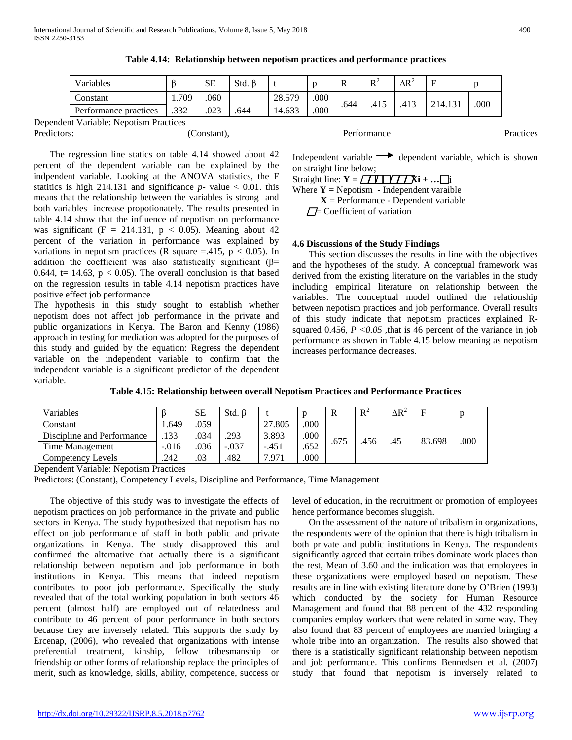| Variables             |       | SE   | Std. |        |      | v    | $R^2$ | $\Delta \mathrm{R}^2$ |         |      |
|-----------------------|-------|------|------|--------|------|------|-------|-----------------------|---------|------|
| Constant              | 1.709 | .060 |      | 28.579 | .000 | .644 | .415  | .413                  | 214.131 |      |
| Performance practices | .332  | .023 | .644 | 4.633  | .000 |      |       |                       |         | .000 |

**Table 4.14: Relationship between nepotism practices and performance practices**

Dependent Variable: Nepotism Practices Predictors: a constant), constant), Performance Practices Practices Practices Practices Practices Practices Pro

 The regression line statics on table 4.14 showed about 42 percent of the dependent variable can be explained by the indpendent variable. Looking at the ANOVA statistics, the F statitics is high 214.131 and significance  $p$ - value  $< 0.01$ . this means that the relationship between the variables is strong and both variables increase propotionately. The results presented in table 4.14 show that the influence of nepotism on performance was significant (F = 214.131,  $p$  < 0.05). Meaning about 42 percent of the variation in performance was explained by variations in nepotism practices (R square  $=$  415, p < 0.05). In addition the coefficient was also statistically significant ( $\beta$ = 0.644, t= 14.63,  $p < 0.05$ ). The overall conclusion is that based on the regression results in table 4.14 nepotism practices have

positive effect job performance The hypothesis in this study sought to establish whether nepotism does not affect job performance in the private and public organizations in Kenya. The Baron and Kenny (1986) approach in testing for mediation was adopted for the purposes of this study and guided by the equation: Regress the dependent variable on the independent variable to confirm that the independent variable is a significant predictor of the dependent variable.

Independent variable  $\rightarrow$  dependent variable, which is shown on straight line below;

Straight line:  $Y = \sqrt{V \cdot Y / X}$ **Xi** + ...

Where  $Y = \text{Nepotism}$  - Independent varaible

**X** = Performance - Dependent variable

 $\Box$  Coefficient of variation

### **4.6 Discussions of the Study Findings**

 This section discusses the results in line with the objectives and the hypotheses of the study. A conceptual framework was derived from the existing literature on the variables in the study including empirical literature on relationship between the variables. The conceptual model outlined the relationship between nepotism practices and job performance. Overall results of this study indicate that nepotism practices explained Rsquared  $0.456$ ,  $P < 0.05$ , that is 46 percent of the variance in job performance as shown in Table 4.15 below meaning as nepotism increases performance decreases.

**Table 4.15: Relationship between overall Nepotism Practices and Performance Practices**

| Variables                  |         | <b>SE</b> | $Std. \beta$ |         |      | R    | $R^{\circ}$ | $\Delta R^2$ | $\mathbf F$ |      |
|----------------------------|---------|-----------|--------------|---------|------|------|-------------|--------------|-------------|------|
| Constant                   | . 649   | .059      |              | 27.805  | .000 |      |             |              |             |      |
| Discipline and Performance | .133    | .034      | .293         | 3.893   | .000 | .675 | .456        |              | 83.698      | .000 |
| Time Management            | $-.016$ | .036      | $-.037$      | $-.451$ | .652 |      |             | .45          |             |      |
| Competency Levels          | .242    | .03       | 482          | 7.971   | .000 |      |             |              |             |      |

Dependent Variable: Nepotism Practices

Predictors: (Constant), Competency Levels, Discipline and Performance, Time Management

 The objective of this study was to investigate the effects of nepotism practices on job performance in the private and public sectors in Kenya. The study hypothesized that nepotism has no effect on job performance of staff in both public and private organizations in Kenya. The study disapproved this and confirmed the alternative that actually there is a significant relationship between nepotism and job performance in both institutions in Kenya. This means that indeed nepotism contributes to poor job performance. Specifically the study revealed that of the total working population in both sectors 46 percent (almost half) are employed out of relatedness and contribute to 46 percent of poor performance in both sectors because they are inversely related. This supports the study by Ercenap, (2006), who revealed that organizations with intense preferential treatment, kinship, fellow tribesmanship or friendship or other forms of relationship replace the principles of merit, such as knowledge, skills, ability, competence, success or

level of education, in the recruitment or promotion of employees hence performance becomes sluggish.

 On the assessment of the nature of tribalism in organizations, the respondents were of the opinion that there is high tribalism in both private and public institutions in Kenya. The respondents significantly agreed that certain tribes dominate work places than the rest, Mean of 3.60 and the indication was that employees in these organizations were employed based on nepotism. These results are in line with existing literature done by O'Brien (1993) which conducted by the society for Human Resource Management and found that 88 percent of the 432 responding companies employ workers that were related in some way. They also found that 83 percent of employees are married bringing a whole tribe into an organization. The results also showed that there is a statistically significant relationship between nepotism and job performance. This confirms Bennedsen et al, (2007) study that found that nepotism is inversely related to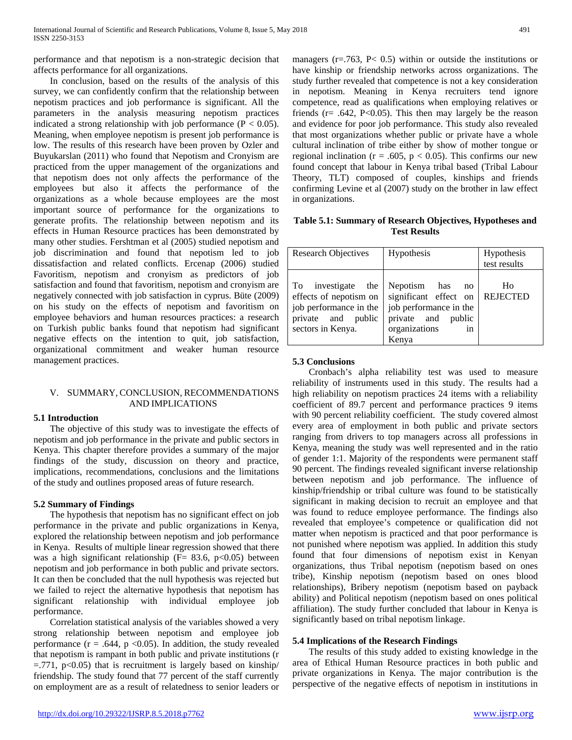performance and that nepotism is a non-strategic decision that affects performance for all organizations.

 In conclusion, based on the results of the analysis of this survey, we can confidently confirm that the relationship between nepotism practices and job performance is significant. All the parameters in the analysis measuring nepotism practices indicated a strong relationship with job performance  $(P < 0.05)$ . Meaning, when employee nepotism is present job performance is low. The results of this research have been proven by Ozler and Buyukarslan (2011) who found that Nepotism and Cronyism are practiced from the upper management of the organizations and that nepotism does not only affects the performance of the employees but also it affects the performance of the organizations as a whole because employees are the most important source of performance for the organizations to generate profits. The relationship between nepotism and its effects in Human Resource practices has been demonstrated by many other studies. Fershtman et al (2005) studied nepotism and job discrimination and found that nepotism led to job dissatisfaction and related conflicts. Ercenap (2006) studied Favoritism, nepotism and cronyism as predictors of job satisfaction and found that favoritism, nepotism and cronyism are negatively connected with job satisfaction in cyprus. Büte (2009) on his study on the effects of nepotism and favoritism on employee behaviors and human resources practices: a research on Turkish public banks found that nepotism had significant negative effects on the intention to quit, job satisfaction, organizational commitment and weaker human resource management practices.

### V. SUMMARY, CONCLUSION, RECOMMENDATIONS AND IMPLICATIONS

### **5.1 Introduction**

 The objective of this study was to investigate the effects of nepotism and job performance in the private and public sectors in Kenya. This chapter therefore provides a summary of the major findings of the study, discussion on theory and practice, implications, recommendations, conclusions and the limitations of the study and outlines proposed areas of future research.

### **5.2 Summary of Findings**

 The hypothesis that nepotism has no significant effect on job performance in the private and public organizations in Kenya, explored the relationship between nepotism and job performance in Kenya. Results of multiple linear regression showed that there was a high significant relationship ( $F = 83.6$ ,  $p < 0.05$ ) between nepotism and job performance in both public and private sectors. It can then be concluded that the null hypothesis was rejected but we failed to reject the alternative hypothesis that nepotism has significant relationship with individual employee job performance.

 Correlation statistical analysis of the variables showed a very strong relationship between nepotism and employee job performance ( $r = .644$ ,  $p < 0.05$ ). In addition, the study revealed that nepotism is rampant in both public and private institutions (r  $=$ .771, p<0.05) that is recruitment is largely based on kinship/ friendship. The study found that 77 percent of the staff currently on employment are as a result of relatedness to senior leaders or managers ( $r = .763$ ,  $P < 0.5$ ) within or outside the institutions or have kinship or friendship networks across organizations. The study further revealed that competence is not a key consideration in nepotism. Meaning in Kenya recruiters tend ignore competence, read as qualifications when employing relatives or friends ( $r = .642$ , P<0.05). This then may largely be the reason and evidence for poor job performance. This study also revealed that most organizations whether public or private have a whole cultural inclination of tribe either by show of mother tongue or regional inclination ( $r = .605$ ,  $p < 0.05$ ). This confirms our new found concept that labour in Kenya tribal based (Tribal Labour Theory, TLT) composed of couples, kinships and friends confirming Levine et al (2007) study on the brother in law effect in organizations.

**Table 5.1: Summary of Research Objectives, Hypotheses and Test Results**

| <b>Research Objectives</b>                                                                                        | Hypothesis                                                                                                                  | Hypothesis<br>test results |
|-------------------------------------------------------------------------------------------------------------------|-----------------------------------------------------------------------------------------------------------------------------|----------------------------|
| To investigate the<br>effects of nepotism on<br>job performance in the<br>private and public<br>sectors in Kenya. | Nepotism has<br>no<br>significant effect on<br>job performance in the<br>private and public<br>organizations<br>in<br>Kenya | Ho<br><b>REJECTED</b>      |

### **5.3 Conclusions**

 Cronbach's alpha reliability test was used to measure reliability of instruments used in this study. The results had a high reliability on nepotism practices 24 items with a reliability coefficient of 89.7 percent and performance practices 9 items with 90 percent reliability coefficient. The study covered almost every area of employment in both public and private sectors ranging from drivers to top managers across all professions in Kenya, meaning the study was well represented and in the ratio of gender 1:1. Majority of the respondents were permanent staff 90 percent. The findings revealed significant inverse relationship between nepotism and job performance. The influence of kinship/friendship or tribal culture was found to be statistically significant in making decision to recruit an employee and that was found to reduce employee performance. The findings also revealed that employee's competence or qualification did not matter when nepotism is practiced and that poor performance is not punished where nepotism was applied. In addition this study found that four dimensions of nepotism exist in Kenyan organizations, thus Tribal nepotism (nepotism based on ones tribe), Kinship nepotism (nepotism based on ones blood relationships), Bribery nepotism (nepotism based on payback ability) and Political nepotism (nepotism based on ones political affiliation). The study further concluded that labour in Kenya is significantly based on tribal nepotism linkage.

### **5.4 Implications of the Research Findings**

 The results of this study added to existing knowledge in the area of Ethical Human Resource practices in both public and private organizations in Kenya. The major contribution is the perspective of the negative effects of nepotism in institutions in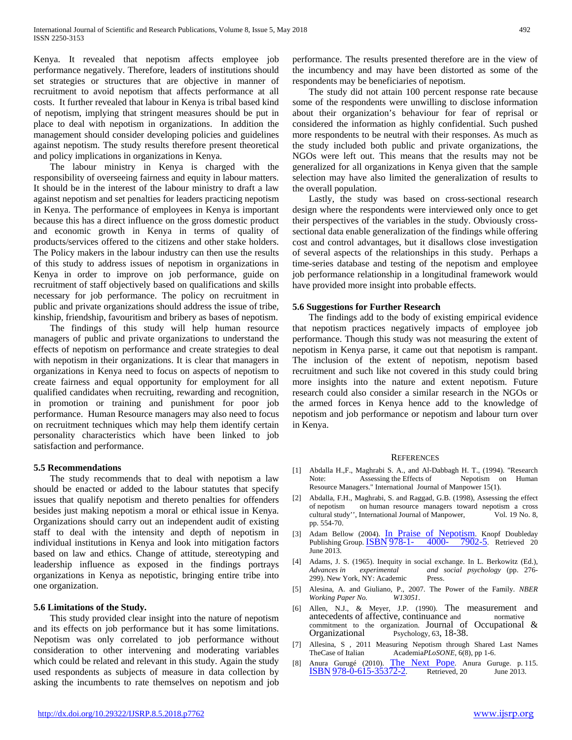Kenya. It revealed that nepotism affects employee job performance negatively. Therefore, leaders of institutions should set strategies or structures that are objective in manner of recruitment to avoid nepotism that affects performance at all costs. It further revealed that labour in Kenya is tribal based kind of nepotism, implying that stringent measures should be put in place to deal with nepotism in organizations. In addition the management should consider developing policies and guidelines against nepotism. The study results therefore present theoretical and policy implications in organizations in Kenya.

 The labour ministry in Kenya is charged with the responsibility of overseeing fairness and equity in labour matters. It should be in the interest of the labour ministry to draft a law against nepotism and set penalties for leaders practicing nepotism in Kenya. The performance of employees in Kenya is important because this has a direct influence on the gross domestic product and economic growth in Kenya in terms of quality of products/services offered to the citizens and other stake holders. The Policy makers in the labour industry can then use the results of this study to address issues of nepotism in organizations in Kenya in order to improve on job performance, guide on recruitment of staff objectively based on qualifications and skills necessary for job performance. The policy on recruitment in public and private organizations should address the issue of tribe, kinship, friendship, favouritism and bribery as bases of nepotism.

 The findings of this study will help human resource managers of public and private organizations to understand the effects of nepotism on performance and create strategies to deal with nepotism in their organizations. It is clear that managers in organizations in Kenya need to focus on aspects of nepotism to create fairness and equal opportunity for employment for all qualified candidates when recruiting, rewarding and recognition, in promotion or training and punishment for poor job performance. Human Resource managers may also need to focus on recruitment techniques which may help them identify certain personality characteristics which have been linked to job satisfaction and performance.

### **5.5 Recommendations**

 The study recommends that to deal with nepotism a law should be enacted or added to the labour statutes that specify issues that qualify nepotism and thereto penalties for offenders besides just making nepotism a moral or ethical issue in Kenya. Organizations should carry out an independent audit of existing staff to deal with the intensity and depth of nepotism in individual institutions in Kenya and look into mitigation factors based on law and ethics. Change of attitude, stereotyping and leadership influence as exposed in the findings portrays organizations in Kenya as nepotistic, bringing entire tribe into one organization.

### **5.6 Limitations of the Study.**

 This study provided clear insight into the nature of nepotism and its effects on job performance but it has some limitations. Nepotism was only correlated to job performance without consideration to other intervening and moderating variables which could be related and relevant in this study. Again the study used respondents as subjects of measure in data collection by asking the incumbents to rate themselves on nepotism and job

performance. The results presented therefore are in the view of the incumbency and may have been distorted as some of the respondents may be beneficiaries of nepotism.

 The study did not attain 100 percent response rate because some of the respondents were unwilling to disclose information about their organization's behaviour for fear of reprisal or considered the information as highly confidential. Such pushed more respondents to be neutral with their responses. As much as the study included both public and private organizations, the NGOs were left out. This means that the results may not be generalized for all organizations in Kenya given that the sample selection may have also limited the generalization of results to the overall population.

 Lastly, the study was based on cross-sectional research design where the respondents were interviewed only once to get their perspectives of the variables in the study. Obviously crosssectional data enable generalization of the findings while offering cost and control advantages, but it disallows close investigation of several aspects of the relationships in this study. Perhaps a time-series database and testing of the nepotism and employee job performance relationship in a longitudinal framework would have provided more insight into probable effects.

### **5.6 Suggestions for Further Research**

 The findings add to the body of existing empirical evidence that nepotism practices negatively impacts of employee job performance. Though this study was not measuring the extent of nepotism in Kenya parse, it came out that nepotism is rampant. The inclusion of the extent of nepotism, nepotism based recruitment and such like not covered in this study could bring more insights into the nature and extent nepotism. Future research could also consider a similar research in the NGOs or the armed forces in Kenya hence add to the knowledge of nepotism and job performance or nepotism and labour turn over in Kenya.

### **REFERENCES**

- [1] Abdalla H.,F., Maghrabi S. A., and Al-Dabbagh H. T., (1994). "Research Note: Assessing the Effects of Nepotism on Human Resource Managers." International Journal of Manpower 15(1).
- [2] Abdalla, F.H., Maghrabi, S. and Raggad, G.B. (1998), Assessing the effect of nepotism on human resource managers toward nepotism a cross cultural study'', International Journal of Manpower, Vol. 19 No. 8, pp. 554-70.
- [3] Adam Bellow (2004). [In Praise of Nepotism.](https://books.google.com/books?id=z8wSCZG9O6AC) Knopf Doubleday Publishing Group. **ISBN 978-1-** 4000- [7902-5.](https://en.wikipedia.org/wiki/Special:BookSources/978-1-4000-7902-5) Retrieved 20 June 2013.
- [4] Adams, J. S. (1965). Inequity in social exchange. In L. Berkowitz (Ed.), *Advances in experimental and social psychology* (pp. 276- 299). New York, NY: Academic Press.
- [5] Alesina, A. and Giuliano, P., 2007. The Power of the Family. *NBER Working Paper No.*
- [6] Allen, N.J., & Meyer, J.P. (1990). The measurement and antecedents of affective, continuance and normative commitment to the organization. Journal of Occupational & Organizational Psychology, 63, 18-38.
- [7] Allesina, S , 2011 Measuring Nepotism through Shared Last Names TheCase of Italian Academia*PLoSONE*, 6(8), pp 1-6.
- [8] Anura Gurugé (2010). [The Next Pope.](https://books.google.com/books?id=B5JVthemvvwC&pg=PA115) Anura Guruge. p. 115.<br> **ISBN 978-0-615-35372-2**. Retrieved, 20 June 2013.  $ISBN 978-0-615-35372-2.$  $ISBN 978-0-615-35372-2.$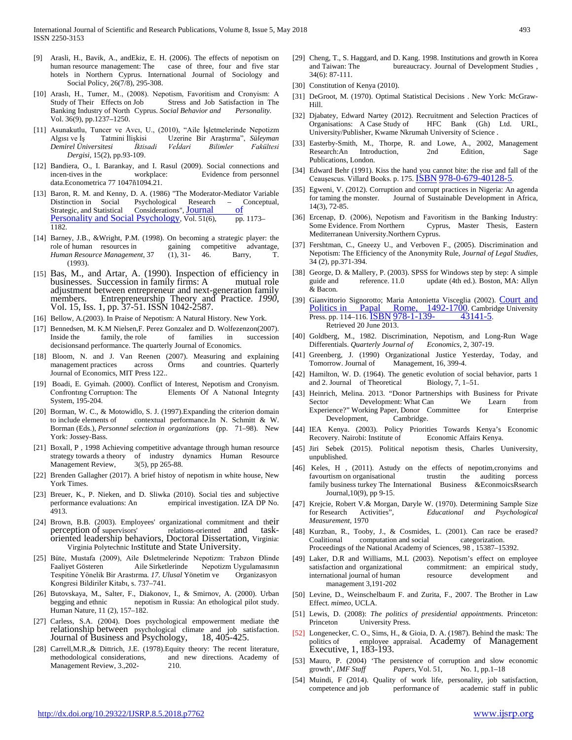- [9] Arasli, H., Bavik, A., andEkiz, E. H. (2006). The effects of nepotism on human resource management: The case of three, four and five star hotels in Northern Cyprus. International Journal of Sociology and Social Policy, 26(7/8), 295-308.
- [10] Araslı, H., Tumer, M., (2008). Nepotism, Favoritism and Cronyism: A Study of Their Effects on Job Stress and Job Satisfaction in The Banking Industry of North Cyprus. Social Behavior and Personality. Banking Industry of North Cyprus. *Social Behavior and* Vol. 36(9), pp.1237–1250.
- [11] Asunakutlu, Tuncer ve Avcı, U., (2010), "Aile İşletmelerinde Nepotizm Algısı ve İş Tatmini İlişkisi Uzerine Bir Araştırma", *Süleyman Demirel Üniversitesi İktisadi Veİdari Bilimler Fakültesi Dergisi*, 15(2), pp.93-109.
- [12] Bandiera, O., I. Barankay, and I. Rasul (2009). Social connections and incen-tives in the workplace: Evidence from personnel data.Econometrica 77 1047ñ1094.21.
- [13] Baron, R. M. and Kenny, D. A. (1986) "The Moderator-Mediator Variable Distinction in Social Psychological Research – Conceptual, Strategic, and Statistical Considerations", Journal of Strategic, and Statistical Considerations", Journal of [Personality and Social Psychology,](https://en.wikipedia.org/wiki/Journal_of_Personality_and_Social_Psychology) Vol. 51(6), pp. 1173– 1182.
- [14] Barney, J.B., &Wright, P.M. (1998). On becoming a strategic player: the role of human resources in gaining competitive advantage, *Human Resource Management*, 37 (1), 31- 46. Barry, T. (1993).
- [15] Bas*,* M., and Artar, A. (1990). Inspection of efficiency in businesses. Succession in family firms: A mutual role members. Entrepreneurship Theory and Practice. *1990*, Vol. 15, Iss. 1, pp. 37-51. ISSN 1042-2587.
- [16] Bellow, A.(2003). In Praise of Nepotism: A Natural History. New York.
- [17] Bennedsen, M. K.M Nielsen, F. Perez Gonzalez and D. Wolfezenzon(2007). Inside the family, the role of families in succession decisionsand performance. The quarterly Journal of Economics.
- [18] Bloom, N. and J. Van Reenen (2007). Measuring and explaining management practices across Örms and countries. Quarterly Journal of Economics, MIT Press 122..
- [19] Boadi, E. Gyimah. (2000). Conflict of Interest, Nepotism and Cronyism. Confrontıng Corruptıon: The Elements Of A Natıonal Integrıty System, 195-204.
- [20] Borman, W. C., & Motowidlo, S. J. (1997).Expanding the criterion domain to include elements of contextual performance.In N. Schmitt & W. Borman (Eds.), *Personnel selection in organizations* (pp. 71–98). New York: Jossey-Bass.
- [21] Boxall, P , 1998 Achieving competitive advantage through human resource strategy towards a theory of industry dynamics Human Resource Management Review, 3(5), pp 265-88.
- [22] Brenden Gallagher (2017). A brief histoy of nepotism in white house, New York Times.
- [23] Breuer, K., P. Nieken, and D. Sliwka (2010). Social ties and subjective performance evaluations: An empirical investigation. IZA DP No. 4913.
- [24] Brown, B.B. (2003). Employees' organizational commitment and their perception of supervisors' relations-oriented and taskoriented leadership behaviors, Doctoral Dissertation, Virginia: Virginia Polytechnic Institute and State University.
- [25] Büte, Mustafa (2009), Aile Đsletmelerinde Nepotizm: Trabzon Đlinde Faaliyet Gösteren Aile Sirketlerinde Nepotizm Uygulamasının Tespitine Yönelik Bir Arastırma*. 17. Ulusal* Yönetim ve Organizasyon Kongresi Bildiriler Kitabı, s. 737–741.
- [26] Butovskaya, M., Salter, F., Diakonov, I., & Smirnov, A. (2000). Urban begging and ethnic nepotism in Russia: An ethological pilot study. Human Nature, 11 (2), 157–182.
- [27] Carless, S.A. (2004). Does psychological empowerment mediate the relationship between psychological climate and job satisfaction.<br>Journal of Business and Psychology, 18, 405-425. Journal of Business and Psychology,
- [28] Carrell,M.R., & Dittrich, J.E. (1978). Equity theory: The recent literature, methodological considerations, and new directions. Academy of Management Review, 3., 202-<br>210.
- [29] Cheng, T., S. Haggard, and D. Kang. 1998. Institutions and growth in Korea and Taiwan: The bureaucracy. Journal of Development Studies , 34(6): 87-111.
- [30] Constitution of Kenya (2010).
- [31] DeGroot, M. (1970). Optimal Statistical Decisions . New York: McGraw-Hill.
- [32] Djabatey, Edward Nartey (2012). Recruitment and Selection Practices of Organisations: A Case Study of HFC Bank (Gh) Ltd. URL, University/Publisher, Kwame Nkrumah University of Science .
- [33] Easterby-Smith, M., Thorpe, R. and Lowe, A., 2002, Management Research:An Introduction, 2nd Edition, Sage Publications, London.
- [34] Edward Behr (1991). Kiss the hand you cannot bite: the rise and fall of the Ceaușescus. Villard Books. p. 175. **ISBN 978-0-679-40128-5**.
- [35] Egweni, V. (2012). Corruption and corrupt practices in Nigeria: An agenda for taming the monster. Journal of Sustainable Development in Africa, 14(3), 72-85.
- [36] Ercenap, Đ. (2006), Nepotism and Favoritism in the Banking Industry: Some Evidence. From Northern Cyprus, Master Thesis, Eastern Mediterranean University.Northern Cyprus.
- [37] Fershtman, C., Gneezy U., and Verboven F., (2005). Discrimination and Nepotism: The Efficiency of the Anonymity Rule, *Journal of Legal Studies*, 34 (2), pp.371-394.
- [38] George, D. & Mallery, P. (2003). SPSS for Windows step by step: A simple guide and reference. 11.0 update (4th ed.). Boston, MA: Allyn & Bacon.
- [39] Gianvittorio Signorotto; Maria Antonietta Visceglia (2002). Court and [Politics in Papal Rome, 1492-1700.](https://books.google.com/books?id=2W1tc-wf5DQC&pg=PA114) Cambridge University<br>Press. pp. 114-116. ISBN 978-1-139- 43141-5. Press. pp. 114–116. **ISBN [978-1-139-](https://en.wikipedia.org/wiki/Special:BookSources/978-1-139-43141-5)** Retrieved 20 June 2013.
- [40] Goldberg, M., 1982. Discrimination, Nepotism, and Long-Run Wage Differentials. *Quarterly Journal of Economics*, 2, 307-19.
- [41] Greenberg, J. (1990) Organizational Justice Yesterday, Today, and Tomorrow. Journal of Management, 16, 399-4.
- [42] Hamilton, W. D. (1964). The genetic evolution of social behavior, parts 1 and 2. Journal of Theoretical Biology, 7, 1–51.
- [43] Heinrich, Melina. 2013. "Donor Partnerships with Business for Private Sector Development: What Can We Learn from Experience?" Working Paper, Donor Committee for Enterprise Development, Cambridge.
- [44] IEA Kenya. (2003). Policy Priorities Towards Kenya's Economic Recovery. Nairobi: Institute of Economic Affairs Kenya.
- [45] Jiri Sebek (2015). Political nepotism thesis, Charles Uuniversity, unpublished.
- [46] Keles, H , (2011). Astudy on the effects of nepotim,cronyims and trustin the auditing porcess family business turkey The International Business &EconmoicsRsearch Journal,10(9), pp 9-15.
- [47] Krejcie, Robert V.& Morgan, Daryle W. (1970). Determining Sample Size for Research Activities", *Educational and Psychological Measurement*, 1970
- [48] Kurzban, R., Tooby, J., & Cosmides, L. (2001). Can race be erased? Coalitional computation and social categorization. Proceedings of the National Academy of Sciences, 98 , 15387–15392.
- [49] Laker, D.R and Williams, M.L (2003). Nepotism's effect on employee satisfaction and organizational commitment: an empirical study, international journal of human resource development and management 3,191-202
- [50] Levine, D., Weinschelbaum F. and Zurita, F., 2007. The Brother in Law Effect. *mimeo*, UCLA.
- [51] Lewis, D. (2008): *The politics of presidential appointments.* Princeton: Princeton University Press.
- [52] Longenecker, C. O., Sims, H., & Gioia, D. A. (1987). Behind the mask: The politics of employee appraisal. Academy of Management Executive, 1, 183-193.
- [53] Mauro, P. (2004) 'The persistence of corruption and slow economic growth', *IMF Staff Papers*, Vol. 51, No. 1, pp.1–18
- [54] Muindi, F (2014). Quality of work life, personality, job satisfaction, competence and job performance of academic staff in public